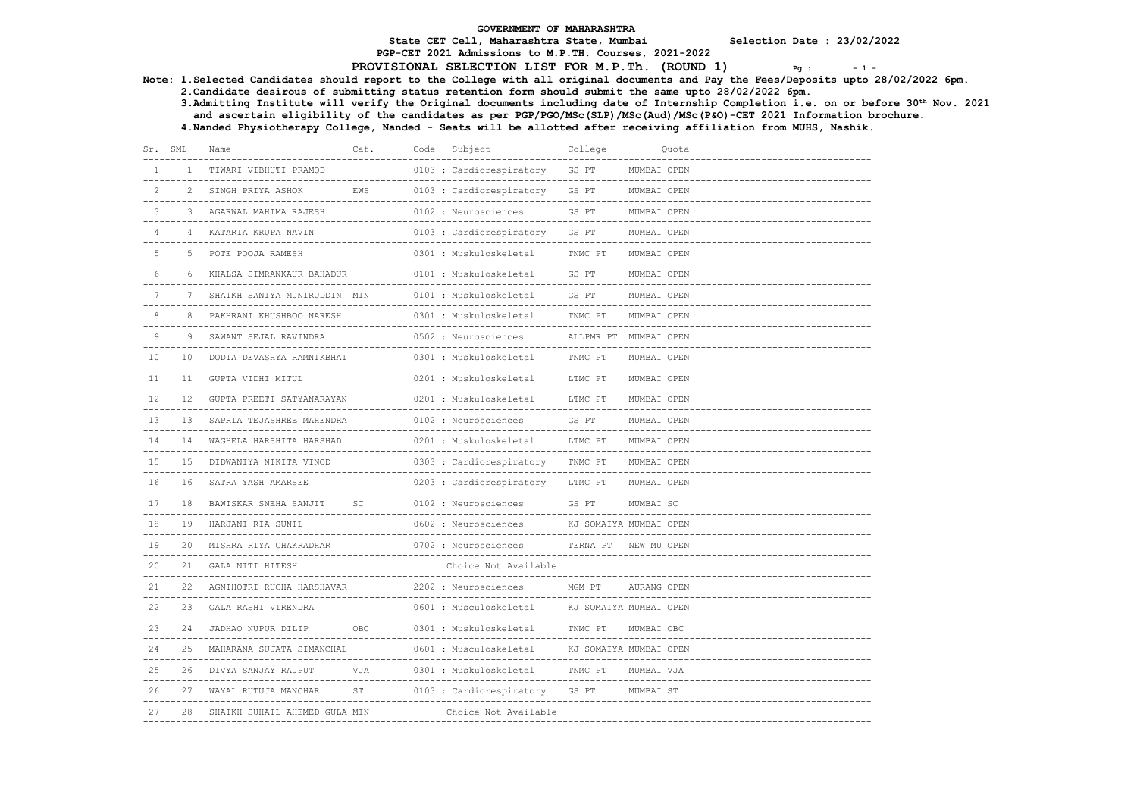PGP-CET 2021 Admissions to M.P.TH. Courses, 2021-2022

# PROVISIONAL SELECTION LIST FOR M.P.Th. (ROUND 1)  $P_{\text{g}}$  :  $-1$  -

Note: 1.Selected Candidates should report to the College with all original documents and Pay the Fees/Deposits upto 28/02/2022 6pm.

2.Candidate desirous of submitting status retention form should submit the same upto 28/02/2022 6pm.

 3.Admitting Institute will verify the Original documents including date of Internship Completion i.e. on or before 30th Nov. 2021 and ascertain eligibility of the candidates as per PGP/PGO/MSc(SLP)/MSc(Aud)/MSc(P&O)-CET 2021 Information brochure.

| Sr. SML           |        | Name                                                       | Cat.              | Code | Subject                                                        | College                                           |             | Ouota                                 |
|-------------------|--------|------------------------------------------------------------|-------------------|------|----------------------------------------------------------------|---------------------------------------------------|-------------|---------------------------------------|
| 1                 | $1 -$  | TIWARI VIBHUTI PRAMOD                                      |                   |      | 0103 : Cardiorespiratory                                       | GS PT                                             | MUMBAI OPEN |                                       |
| 2                 |        | SINGH PRIYA ASHOK<br>--------------------------------      | EWS               |      | 0103 : Cardiorespiratory                                       | -----------------<br>GS PT<br>--------------      | MUMBAI OPEN |                                       |
| 3                 |        | AGARWAL MAHIMA RAJESH                                      |                   |      | 0102 : Neurosciences                                           | GS PT<br>---------------------                    | MUMBAI OPEN |                                       |
| $\overline{4}$    | 4      | KATARIA KRUPA NAVIN                                        |                   |      | 0103 : Cardiorespiratory                                       | GS PT                                             | MUMBAI OPEN |                                       |
| 5                 |        | POTE POOJA RAMESH<br>------------------------------------- |                   |      | 0301 : Muskuloskeletal                                         | TNMC PT<br>--------------------------             | MUMBAI OPEN |                                       |
| 6                 | 6      | KHALSA SIMRANKAUR BAHADUR                                  |                   |      | 0101 : Muskuloskeletal                                         | GS PT                                             | MUMBAI OPEN |                                       |
| $\tau$            | 7      | SHAIKH SANIYA MUNIRUDDIN MIN                               |                   |      | 0101 : Muskuloskeletal                                         | GS PT                                             | MUMBAI OPEN |                                       |
| 8                 |        | PAKHRANI KHUSHBOO NARESH                                   |                   |      | 0301 : Muskuloskeletal                                         | TNMC PT                                           | MUMBAI OPEN |                                       |
| 9                 | 9      | SAWANT SEJAL RAVINDRA                                      |                   |      | 0502 : Neurosciences                                           | ALLPMR PT MUMBAI OPEN                             |             |                                       |
| 10                | 10     | DODIA DEVASHYA RAMNIKBHAI                                  |                   |      | 0301 : Muskuloskeletal                                         | TNMC PT                                           | MUMBAI OPEN |                                       |
| 11                | 11     | GUPTA VIDHI MITUL                                          |                   |      | _____________<br>0201 : Muskuloskeletal                        | LTMC PT                                           | MUMBAI OPEN |                                       |
| $12 \overline{ }$ | $12 -$ | GUPTA PREETI SATYANARAYAN                                  |                   |      | 0201 : Muskuloskeletal                                         | -------------------------<br>LTMC PT              | MUMBAI OPEN |                                       |
| 13                | 13     | SAPRIA TEJASHREE MAHENDRA                                  |                   |      | 0102 : Neurosciences                                           | GS PT                                             | MUMBAI OPEN | ------------------------------------- |
| 14                | 14     | _________________________<br>WAGHELA HARSHITA HARSHAD      |                   |      | ____________________________________<br>0201 : Muskuloskeletal | ---------------------------<br>LTMC PT            | MUMBAI OPEN |                                       |
| 15                | 15     | DIDWANIYA NIKITA VINOD                                     |                   |      | 0303 : Cardiorespiratory                                       | TNMC PT                                           | MUMBAI OPEN |                                       |
| 16                | 16     | SATRA YASH AMARSEE                                         |                   |      | 0203 : Cardiorespiratory                                       | LTMC PT                                           | MUMBAI OPEN |                                       |
| 17                | 18     | BAWISKAR SNEHA SANJIT                                      | SC                |      | 0102 : Neurosciences                                           | GS PT                                             | MUMBAI SC   |                                       |
| 18                | 19     | HARJANI RIA SUNIL                                          |                   |      | 0602 : Neurosciences                                           | .<br>KJ SOMAIYA MUMBAI OPEN                       |             |                                       |
| 19                | 20     | MISHRA RIYA CHAKRADHAR                                     |                   |      | 0702 : Neurosciences                                           | TERNA PT                                          | NEW MU OPEN |                                       |
| 20                |        | GALA NITI HITESH                                           |                   |      | Choice Not Available                                           |                                                   |             |                                       |
| 21                |        | AGNIHOTRI RUCHA HARSHAVAR                                  | --------------    |      | 2202 : Neurosciences                                           | MGM PT                                            | AURANG OPEN |                                       |
| 22                | 23     | GALA RASHI VIRENDRA                                        |                   |      | 0601 : Musculoskeletal                                         | -----------------------<br>KJ SOMAIYA MUMBAI OPEN |             |                                       |
| 23                | 24     | JADHAO NUPUR DILIP                                         | OBC               |      | 0301 : Muskuloskeletal                                         | TNMC PT                                           | MUMBAI OBC  |                                       |
| 24                |        | MAHARANA SUJATA SIMANCHAL                                  | <u>uuuuuuuuuu</u> |      | 0601 : Musculoskeletal                                         | KJ SOMAIYA MUMBAI OPEN                            |             |                                       |
| 25                | 26     | DIVYA SANJAY RAJPUT                                        | VJA               |      | 0301 : Muskuloskeletal                                         | -------------------------<br>TNMC PT              | MUMBAI VJA  |                                       |
| 26.               |        | WAYAL RUTUJA MANOHAR                                       | <b>ST</b>         |      | 0103 : Cardiorespiratory                                       | GS PT                                             | MUMBAI ST   |                                       |
| 27                | 28     | SHAIKH SUHAIL AHEMED GULA MIN                              |                   |      | Choice Not Available                                           |                                                   |             |                                       |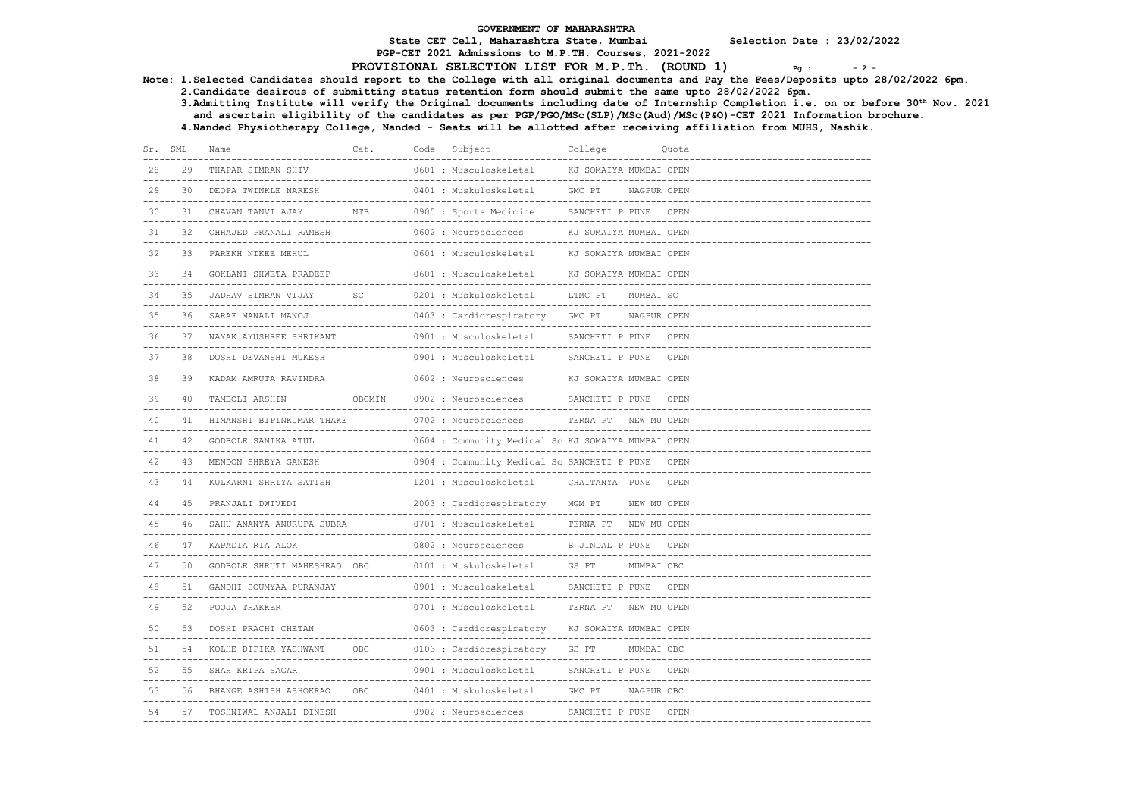# PGP-CET 2021 Admissions to M.P.TH. Courses, 2021-2022

# PROVISIONAL SELECTION LIST FOR M.P.Th. (ROUND 1)  $_{pg}$  :  $_{2}$  -

Note: 1.Selected Candidates should report to the College with all original documents and Pay the Fees/Deposits upto 28/02/2022 6pm.

2.Candidate desirous of submitting status retention form should submit the same upto 28/02/2022 6pm.

3.Admitting Institute will verify the Original documents including date of Internship Completion i.e. on or before 30th Nov. 2021

and ascertain eligibility of the candidates as per PGP/PGO/MSc(SLP)/MSc(Aud)/MSc(P&O)-CET 2021 Information brochure.

| Sr. SML |     | Name                                                        | Cat.                              | Code | Subject                                                      | College                                          |             | Quota |
|---------|-----|-------------------------------------------------------------|-----------------------------------|------|--------------------------------------------------------------|--------------------------------------------------|-------------|-------|
| 28      | 29  | THAPAR SIMRAN SHIV<br>------------------------------------- |                                   |      | 0601 : Musculoskeletal                                       | KJ SOMAIYA MUMBAI OPEN                           |             |       |
| 29      | 30  | DEOPA TWINKLE NARESH                                        |                                   |      | 0401 : Muskuloskeletal                                       | GMC PT                                           | NAGPUR OPEN |       |
| 30      | 31  | CHAVAN TANVI AJAY                                           | <b>NTB</b>                        |      | 0905 : Sports Medicine                                       | SANCHETI P PUNE                                  |             | OPEN  |
| 31      | 32  | CHHAJED PRANALI RAMESH                                      | ------------                      |      | 0602 : Neurosciences                                         | KJ SOMAIYA MUMBAI OPEN                           |             |       |
| 32      | 33  | PAREKH NIKEE MEHUL                                          |                                   |      | 0601 : Musculoskeletal                                       | KJ SOMAIYA MUMBAI OPEN                           |             |       |
| 33      | 34  | GOKLANI SHWETA PRADEEP                                      |                                   |      | 0601 : Musculoskeletal                                       | KJ SOMAIYA MUMBAI OPEN                           |             |       |
| 34      |     | JADHAV SIMRAN VIJAY                                         | SC                                |      | 0201 : Muskuloskeletal                                       | LTMC PT                                          | MUMBAI SC   |       |
| 35      | 36  | ---------------<br>SARAF MANALI MANOJ                       |                                   |      | 0403 : Cardiorespiratory                                     | GMC PT                                           | NAGPUR OPEN |       |
| 36      |     | NAYAK AYUSHREE SHRIKANT                                     |                                   |      | 0901 : Musculoskeletal                                       | SANCHETI P PUNE                                  |             | OPEN  |
| 37      | 38  | DOSHI DEVANSHI MUKESH                                       |                                   |      | 0901 : Musculoskeletal<br><u> Leopoldo Leopo</u>             | SANCHETI P PUNE                                  |             | OPEN  |
| 38      | 39  | KADAM AMRUTA RAVINDRA                                       |                                   |      | 0602 : Neurosciences<br>------------------------------------ | KJ SOMAIYA MUMBAI OPEN                           |             |       |
| 39      | 40  | TAMBOLI ARSHIN                                              | OBCMIN                            |      | 0902 : Neurosciences                                         | -----------------------------<br>SANCHETI P PUNE |             | OPEN  |
| 40      | 41  | HIMANSHI BIPINKUMAR THAKE                                   | ------------------------          |      | 0702 : Neurosciences                                         | TERNA PT                                         | NEW MU OPEN |       |
| 41      | 42  | GODBOLE SANIKA ATUL                                         |                                   |      | 0604 : Community Medical Sc KJ SOMAIYA MUMBAI OPEN           |                                                  |             |       |
| 42      | 43  | MENDON SHREYA GANESH                                        |                                   |      | 0904 : Community Medical Sc SANCHETI P PUNE                  |                                                  |             | OPEN  |
| 43      | 44  | KULKARNI SHRIYA SATISH                                      |                                   |      | 1201 : Musculoskeletal                                       | CHAITANYA PUNE                                   |             | OPEN  |
| 44      | 4.5 | PRANJALI DWIVEDI                                            |                                   |      | 2003 : Cardiorespiratory                                     | MGM PT                                           | NEW MU OPEN |       |
| 45      |     | SAHU ANANYA ANURUPA SUBRA                                   |                                   |      | 0701 : Musculoskeletal                                       | TERNA PT                                         | NEW MU OPEN |       |
| 46      | 47  | KAPADIA RIA ALOK                                            | --------------------------------- |      | 0802 : Neurosciences                                         | B JINDAL P PUNE                                  |             | OPEN  |
| 47      | 50  | GODBOLE SHRUTI MAHESHRAO OBC                                |                                   |      | 0101 : Muskuloskeletal                                       | GS PT                                            | MUMBAI OBC  |       |
| 48      |     | GANDHI SOUMYAA PURANJAY                                     |                                   |      | 0901 : Musculoskeletal<br><u>uu uu uu uu uu uu u</u>         | SANCHETI P PUNE                                  |             | OPEN  |
| 49      | 52  | POOJA THAKKER                                               |                                   |      | 0701 : Musculoskeletal                                       | TERNA PT                                         | NEW MU OPEN |       |
| 50      | 53  | DOSHI PRACHI CHETAN                                         |                                   |      | 0603 : Cardiorespiratory                                     | KJ SOMAIYA MUMBAI OPEN                           |             |       |
| 51      |     | KOLHE DIPIKA YASHWANT                                       | OBC                               |      | 0103 : Cardiorespiratory                                     | GS PT                                            | MUMBAI OBC  |       |
| 52      |     | SHAH KRIPA SAGAR                                            |                                   |      | 0901 : Musculoskeletal                                       | SANCHETI P PUNE                                  |             | OPEN  |
| 53      | 56  | BHANGE ASHISH ASHOKRAO                                      | OBC                               |      | 0401 : Muskuloskeletal                                       | GMC PT                                           | NAGPUR OBC  |       |
| 54      | 57  | TOSHNIWAL ANJALI DINESH                                     |                                   |      | 0902 : Neurosciences                                         | SANCHETI P PUNE                                  |             | OPEN  |
|         |     |                                                             |                                   |      |                                                              |                                                  |             |       |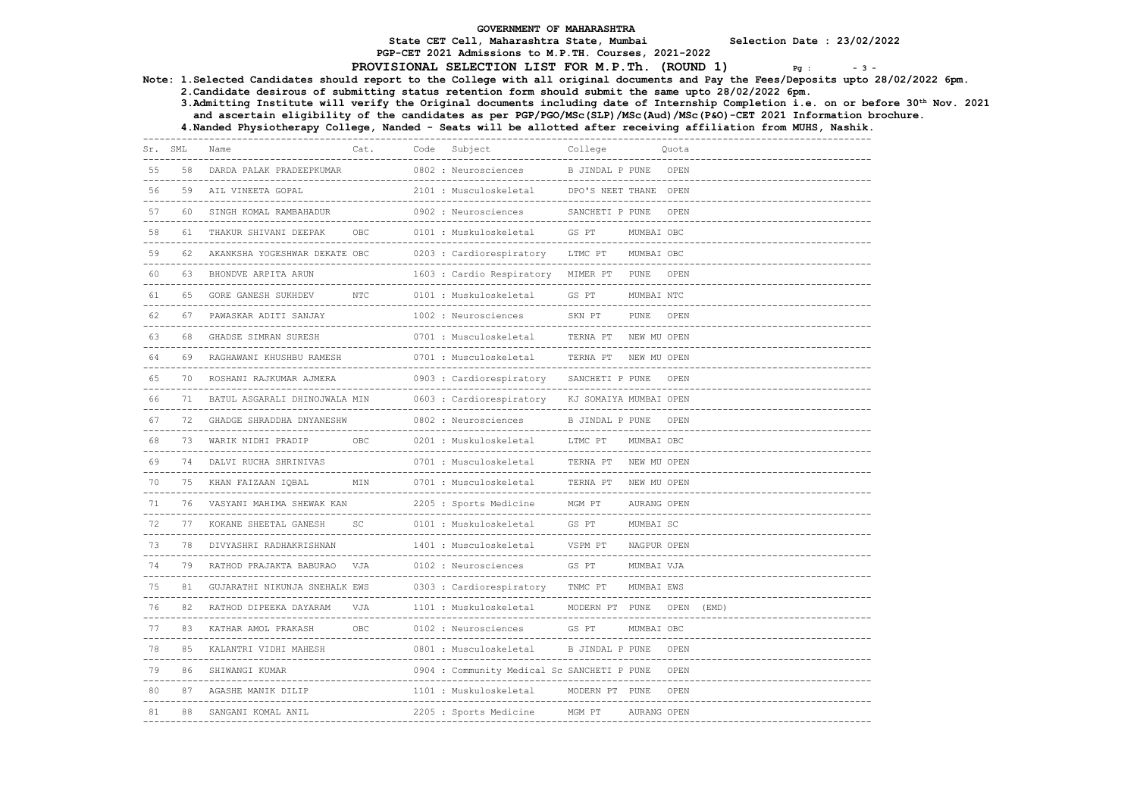PGP-CET 2021 Admissions to M.P.TH. Courses, 2021-2022

### PROVISIONAL SELECTION LIST FOR M.P.Th.  $(ROUND 1)$   $Pq : -3 - 3$

Note: 1.Selected Candidates should report to the College with all original documents and Pay the Fees/Deposits upto 28/02/2022 6pm.

2.Candidate desirous of submitting status retention form should submit the same upto 28/02/2022 6pm.

 3.Admitting Institute will verify the Original documents including date of Internship Completion i.e. on or before 30th Nov. 2021 and ascertain eligibility of the candidates as per PGP/PGO/MSc(SLP)/MSc(Aud)/MSc(P&O)-CET 2021 Information brochure.

4.Nanded Physiotherapy College, Nanded - Seats will be allotted after receiving affiliation from MUHS, Nashik.

| Sr. | SML | Name                                                    | Cat.          | Code | Subject                                     | College                                  |             | Quota      |  |  |  |
|-----|-----|---------------------------------------------------------|---------------|------|---------------------------------------------|------------------------------------------|-------------|------------|--|--|--|
| 55  | 58  | DARDA PALAK PRADEEPKUMAR                                |               |      | 0802 : Neurosciences                        | B JINDAL P PUNE                          |             | OPEN       |  |  |  |
| 56  | 59  | AIL VINEETA GOPAL                                       |               |      | 2101 : Musculoskeletal                      | DPO'S NEET THANE OPEN                    |             |            |  |  |  |
| 57  | 60  | SINGH KOMAL RAMBAHADUR                                  |               |      | 0902 : Neurosciences                        | SANCHETI P PUNE                          |             | OPEN       |  |  |  |
| 58  |     | THAKUR SHIVANI DEEPAK<br>------------------------------ | OBC           |      | 0101 : Muskuloskeletal                      | GS PT                                    | MUMBAI OBC  |            |  |  |  |
| 59  |     | AKANKSHA YOGESHWAR DEKATE OBC                           |               |      | 0203 : Cardiorespiratory                    | LTMC PT                                  | MUMBAI OBC  |            |  |  |  |
| 60  | 63  | BHONDVE ARPITA ARUN                                     |               |      | 1603 : Cardio Respiratory                   | MIMER PT                                 | PUNE        | OPEN       |  |  |  |
| 61  | 65  | GORE GANESH SUKHDEV                                     | $_{\rm{NTC}}$ |      | 0101 : Muskuloskeletal                      | GS PT<br>______________________          | MUMBAI NTC  |            |  |  |  |
| 62  |     | PAWASKAR ADITI SANJAY                                   |               |      | 1002 : Neurosciences                        | SKN PT                                   | PUNE        | OPEN       |  |  |  |
| 63  | 68  | GHADSE SIMRAN SURESH                                    |               |      | 0701 : Musculoskeletal                      | TERNA PT                                 | NEW MU OPEN |            |  |  |  |
| 64  |     | RAGHAWANI KHUSHBU RAMESH                                |               |      | 0701 : Musculoskeletal                      | TERNA PT                                 | NEW MU OPEN |            |  |  |  |
| 65  | 70  | ROSHANI RAJKUMAR AJMERA                                 |               |      | 0903 : Cardiorespiratory                    | SANCHETI P PUNE                          |             | OPEN       |  |  |  |
| 66  |     | BATUL ASGARALI DHINOJWALA MIN                           |               |      | 0603 : Cardiorespiratory                    | KJ SOMAIYA MUMBAI OPEN                   |             |            |  |  |  |
| 67  |     | GHADGE SHRADDHA DNYANESHW                               |               |      | 0802 : Neurosciences                        | B JINDAL P PUNE                          |             | OPEN       |  |  |  |
| 68  | 73  | WARIK NIDHI PRADIP                                      | OBC           |      | 0201 : Muskuloskeletal                      | LTMC PT                                  | MUMBAI OBC  |            |  |  |  |
| 69  | 74  | DALVI RUCHA SHRINIVAS                                   |               |      | 0701 : Musculoskeletal                      | TERNA PT                                 | NEW MU OPEN |            |  |  |  |
| 70  | 75  | KHAN FAIZAAN IOBAL                                      | <b>MTN</b>    |      | 0701 : Musculoskeletal                      | TERNA PT<br>---------------------------- | NEW MU OPEN |            |  |  |  |
|     |     | VASYANI MAHIMA SHEWAK KAN                               |               |      | 2205 : Sports Medicine                      | MGM PT                                   | AURANG OPEN |            |  |  |  |
| 72  |     | KOKANE SHEETAL GANESH                                   | SC            |      | 0101 : Muskuloskeletal                      | GS PT                                    | MUMBAI SC   |            |  |  |  |
| 73  |     | DIVYASHRI RADHAKRISHNAN                                 |               |      | 1401 : Musculoskeletal                      | VSPM PT                                  | NAGPUR OPEN |            |  |  |  |
| 74  |     | RATHOD PRAJAKTA BABURAO                                 | VJA           |      | 0102 : Neurosciences                        | GS PT                                    | MUMBAI VJA  |            |  |  |  |
| 75  |     | GUJARATHI NIKUNJA SNEHALK EWS                           |               |      | 0303 : Cardiorespiratory                    | TNMC PT                                  | MUMBAI EWS  |            |  |  |  |
| 76  | 82  | RATHOD DIPEEKA DAYARAM                                  | <b>V.TA</b>   |      | 1101 : Muskuloskeletal                      | MODERN PT PUNE                           |             | OPEN (EMD) |  |  |  |
| 77  | 83  | KATHAR AMOL PRAKASH                                     | OBC           |      | 0102 : Neurosciences                        | GS PT                                    | MUMBAI OBC  |            |  |  |  |
| 78  |     | KALANTRI VIDHI MAHESH                                   |               |      | 0801 : Musculoskeletal                      | <b>B JINDAL P PUNE</b>                   |             | OPEN       |  |  |  |
| 79  | 86  | SHIWANGI KUMAR                                          |               |      | 0904 : Community Medical Sc SANCHETI P PUNE |                                          |             | OPEN       |  |  |  |
| 80  | 87  | AGASHE MANIK DILIP                                      |               |      | 1101 : Muskuloskeletal                      | MODERN PT PUNE                           |             | OPEN       |  |  |  |
| 81  | 88  | SANGANI KOMAL ANIL                                      |               |      | 2205 : Sports Medicine                      | MGM PT                                   | AURANG OPEN |            |  |  |  |
|     |     |                                                         |               |      |                                             |                                          |             |            |  |  |  |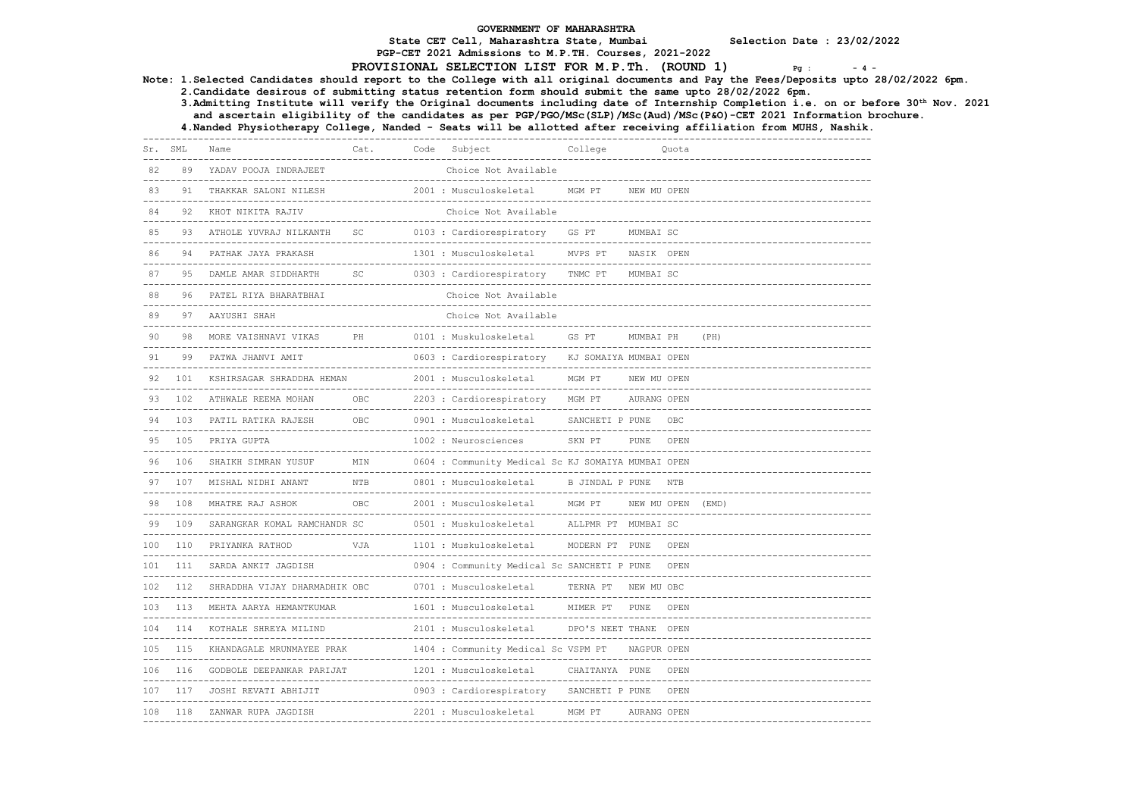PGP-CET 2021 Admissions to M.P.TH. Courses, 2021-2022

#### PROVISIONAL SELECTION LIST FOR M.P.Th. (ROUND 1)  $Pg_{g}$ :  $-4$  -

3.Admitting Institute will verify the Original documents including date of Internship Completion i.e. on or before 30th Nov. 2021

Note: 1.Selected Candidates should report to the College with all original documents and Pay the Fees/Deposits upto 28/02/2022 6pm. 2.Candidate desirous of submitting status retention form should submit the same upto 28/02/2022 6pm. and ascertain eligibility of the candidates as per PGP/PGO/MSc(SLP)/MSc(Aud)/MSc(P&O)-CET 2021 Information brochure. 4.Nanded Physiotherapy College, Nanded - Seats will be allotted after receiving affiliation from MUHS, Nashik. ------------------------------------------------------------------------------------------------------------------------------------ Cat. Code Subject ------------------------------------------------------------------------------------------------------------------------------------ 82 89 YADAV POOJA INDRAJEET ------------------------------------------------------------------------------------------------------------------------------------ 2001 : Musculoskeletal MGM PT NEW MU OPEN ------------------------------------------------------------------------------------------------------------------------------------ Choice Not Available  $-1\leq i\leq n-1\leq n-1\leq n-1\leq n-1\leq n-1\leq n-1\leq n-1\leq n-1\leq n-1\leq n-1\leq n-1\leq n-1\leq n-1\leq n-1\leq n-1\leq n-1\leq n-1\leq n-1\leq n-1\leq n-1\leq n-1\leq n-1\leq n-1\leq n-1\leq n-1\leq n-1\leq n-1\leq n-1\leq n-1\leq n-1\leq n-1\leq n-1\leq n-1\leq n-1\leq n-1\leq n$  85 93 ATHOLE YUVRAJ NILKANTH SC 0103 : Cardiorespiratory GS PT MUMBAI SC ------------------------------------------------------------------------------------------------------------------------------------ 86 94 PATHAK JAYA PRAKASH 1301 : Musculoskeletal MVPS PT NASIK OPEN ------------------------------------------------------------------------------------------------------------------------------------ 87 95 DAMLE AMAR SIDDHARTH SC 0303 : Cardiorespiratory TNMC PT MUMBAI SC ------------------------------------------------------------------------------------------------------------------------------------ 88 96 PATEL RIYA BHARATBHAI ------------------------------------------------------------------------------------------------------------------------------------ 89 97 AAYUSHT SHAH ------------------------------------------------------------------------------------------------------------------------------------ 90 98 MORE VAISHNAVI VIKAS PH 0101 : Muskuloskeletal GS PT MUMBAI PH (PH) ------------------------------------------------------------------------------------------------------------------------------------ 0603 : Cardiorespiratory KJ SOMAIYA MUMBAI OPEN ------------------------------------------------------------------------------------------------------------------------------------ 92 101 KSHIRSAGAR SHRADDHA HEMAN 2001 : Musculoskeletal MGM PT NEW MU OPEN ------------------------------------------------------------------------------------------------------------------------------------ 93 102 ATHWALE REEMA MOHAN OBC 2203 : Cardiorespiratory MGM PT AURANG OPEN ------------------------------------------------------------------------------------------------------------------------------------ 94 103 PATIL RATIKA RAJESH OBC 0901 : Musculoskeletal SANCHETI P PUNE OBC ------------------------------------------------------------------------------------------------------------------------------------ SKN PT PUNE OPEN ------------------------------------------------------------------------------------------------------------------------------------ 96 106 SHAIKH SIMRAN YUSUF MIN 0604 : Community Medical Sc KJ SOMAIYA MUMBAI OPEN ------------------------------------------------------------------------------------------------------------------------------------ 97 107 MISHAL NIDHI ANANT NTB 0801 : Musculoskeletal B JINDAL P PUNE NTB ------------------------------------------------------------------------------------------------------------------------------------ 98 108 MHATRE RAJ ASHOK OBC 2001 : Musculoskeletal MGM PT NEW MU OPEN (EMD) ------------------------------------------------------------------------------------------------------------------------------------ 99 109 SARANGKAR KOMAL RAMCHANDR SC 0501 : Muskuloskeletal ALLPMR PT MUMBAI SC ------------------------------------------------------------------------------------------------------------------------------------ 100 110 PRIYANKA RATHOD VJA 1101 : Muskuloskeletal MODERN PT PUNE OPEN ------------------------------------------------------------------------------------------------------------------------------------ 0904 : Community Medical Sc SANCHETI P PUNE OPEN ------------------------------------------------------------------------------------------------------------------------------------ 102 112 SHRADDHA VIJAY DHARMADHIK OBC 0701 : Musculoskeletal TERNA PT NEW MU OBC ------------------------------------------------------------------------------------------------------------------------------------ 103 113 MEHTA AARYA HEMANTKUMAR 1601 : Musculoskeletal MIMER PT PUNE OPEN ------------------------------------------------------------------------------------------------------------------------------------ 2101 : Musculoskeletal ------------------------------------------------------------------------------------------------------------------------------------ 105 115 KHANDAGALE MRUNMAYEE PRAK 1404 : Community Medical Sc VSPM PT NAGPUR OPEN ------------------------------------------------------------------------------------------------------------------------------------ 106 116 GODBOLE DEEPANKAR PARIJAT 1201 : Musculoskeletal CHAITANYA PUNE OPEN ------------------------------------------------------------------------------------------------------------------------------------ 107 117 JOSHI REVATI ABHIJIT 0903 : Cardiorespiratory SANCHETI P PUNE OPEN ------------------------------------------------------------------------------------------------------------------------------------ 108 118 ZANWAR RUPA JAGDISH 2201 : Musculoskeletal MGM PT AURANG OPEN ------------------------------------------------------------------------------------------------------------------------------------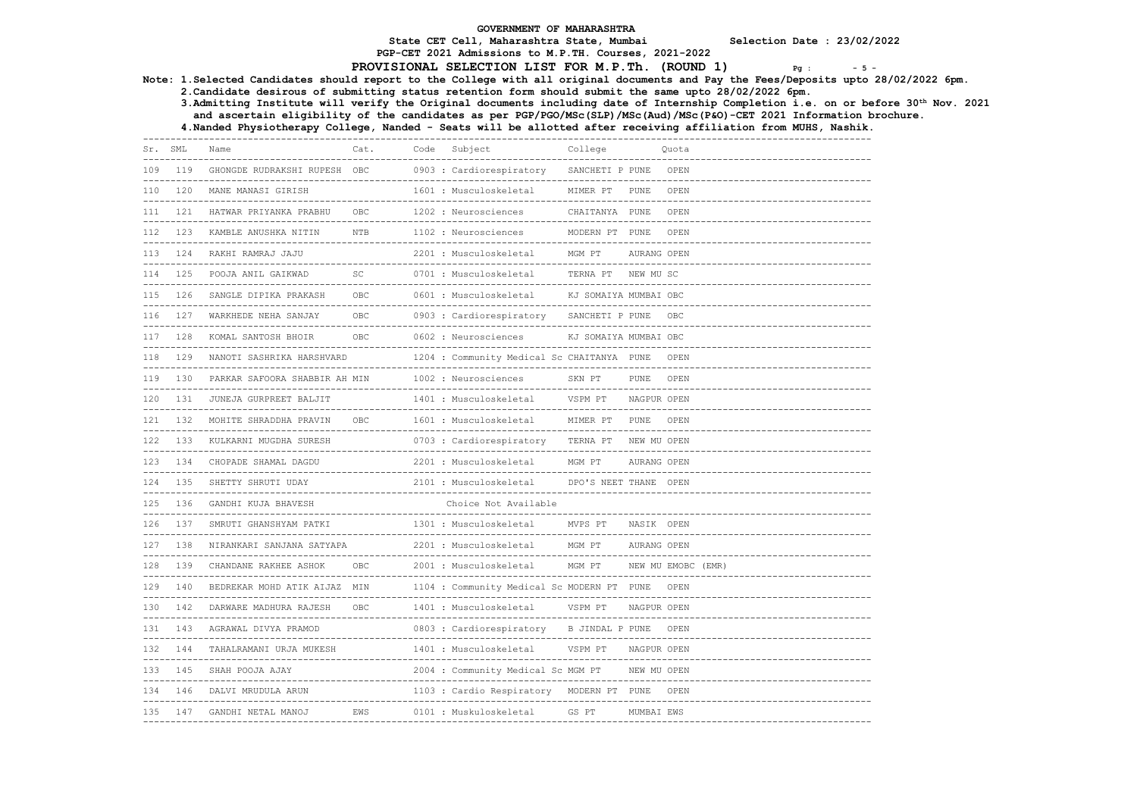PGP-CET 2021 Admissions to M.P.TH. Courses, 2021-2022

# PROVISIONAL SELECTION LIST FOR M.P.Th. (ROUND  $1$ )  $P_g$  :  $-5$  -

Note: 1.Selected Candidates should report to the College with all original documents and Pay the Fees/Deposits upto 28/02/2022 6pm.

2.Candidate desirous of submitting status retention form should submit the same upto 28/02/2022 6pm.

 3.Admitting Institute will verify the Original documents including date of Internship Completion i.e. on or before 30th Nov. 2021 and ascertain eligibility of the candidates as per PGP/PGO/MSc(SLP)/MSc(Aud)/MSc(P&O)-CET 2021 Information brochure.

4.Nanded Physiotherapy College, Nanded - Seats will be allotted after receiving affiliation from MUHS, Nashik.

| Sr. SML      |     | Name                                                                  | Cat.                                    | Code | Subject                                                | College                                         |                      | Ouota              |
|--------------|-----|-----------------------------------------------------------------------|-----------------------------------------|------|--------------------------------------------------------|-------------------------------------------------|----------------------|--------------------|
| 109<br>----- | 119 | GHONGDE RUDRAKSHI RUPESH OBC<br>------------------------------------- |                                         |      | 0903 : Cardiorespiratory<br>-------------------------- | SANCHETI P PUNE<br>----------------             |                      | OPEN               |
| 110          | 120 | MANE MANASI GIRISH                                                    |                                         |      | 1601 : Musculoskeletal                                 | MIMER PT                                        | PUNE                 | OPEN               |
| 111          | 121 | HATWAR PRIYANKA PRABHU                                                | OBC                                     |      | 1202 : Neurosciences                                   | CHAITANYA PUNE                                  |                      | OPEN               |
| 112          | 123 | KAMBLE ANUSHKA NITIN                                                  | <b>NTB</b>                              |      | 1102 : Neurosciences                                   | MODERN PT PUNE<br>----------------------------- |                      | OPEN               |
| 113          | 124 | RAKHI RAMRAJ JAJU                                                     |                                         |      | 2201 : Musculoskeletal                                 | MGM PT                                          | AURANG OPEN          |                    |
| 114          | 125 | POOJA ANIL GAIKWAD                                                    | SC                                      |      | 0701 : Musculoskeletal                                 | TERNA PT                                        | NEW MU SC            |                    |
| 115          | 126 | SANGLE DIPIKA PRAKASH                                                 | OBC<br>. _ _ _ _ _ _ _ _                |      | 0601 : Musculoskeletal                                 | KJ SOMAIYA MUMBAI OBC                           |                      |                    |
| 116          | 127 | WARKHEDE NEHA SANJAY                                                  | OBC                                     |      | 0903 : Cardiorespiratory                               | SANCHETI P PUNE                                 |                      | OBC                |
| 117          | 128 | KOMAL SANTOSH BHOIR                                                   | OBC.                                    |      | 0602 : Neurosciences                                   | KJ SOMAIYA MUMBAI OBC                           |                      |                    |
| 118          | 129 | NANOTI SASHRIKA HARSHVARD                                             | --------------------------              |      | 1204 : Community Medical Sc CHAITANYA PUNE             |                                                 |                      | OPEN               |
| 119          | 130 | PARKAR SAFOORA SHABBIR AH MIN                                         |                                         |      | 1002 : Neurosciences                                   | SKN PT                                          | PUNE                 | OPEN               |
| 120          | 131 | JUNEJA GURPREET BALJIT                                                |                                         |      | 1401 : Musculoskeletal                                 | VSPM PT                                         | NAGPUR OPEN          |                    |
| 121          | 132 | MOHITE SHRADDHA PRAVIN                                                | OBC<br>-------------------------------- |      | 1601 : Musculoskeletal<br>--------------               | MIMER PT                                        | PUNE<br>------------ | OPEN               |
| 122          | 133 | KULKARNI MUGDHA SURESH                                                |                                         |      | 0703 : Cardiorespiratory                               | TERNA PT                                        | NEW MU OPEN          |                    |
| 123          | 134 | CHOPADE SHAMAL DAGDU<br>-------------------                           |                                         |      | 2201 : Musculoskeletal                                 | MGM PT<br>--------------------                  | AURANG OPEN          |                    |
| 124          | 135 | SHETTY SHRUTI UDAY                                                    |                                         |      | 2101 : Musculoskeletal                                 | DPO'S NEET THANE OPEN                           |                      |                    |
| 125          | 136 | GANDHI KUJA BHAVESH                                                   |                                         |      | Choice Not Available                                   |                                                 |                      |                    |
| 126          | 137 | SMRUTI GHANSHYAM PATKI                                                |                                         |      | 1301 : Musculoskeletal                                 | MVPS PT                                         | NASIK OPEN           |                    |
| 127          | 138 | NIRANKARI SANJANA SATYAPA                                             | -----------------------------------     |      | 2201 : Musculoskeletal                                 | MGM PT<br>----------                            | AURANG OPEN          |                    |
| 128          | 139 | CHANDANE RAKHEE ASHOK                                                 | OBC                                     |      | 2001 : Musculoskeletal                                 | MGM PT<br>------------------------------------  |                      | NEW MU EMOBC (EMR) |
| 129          | 140 | BEDREKAR MOHD ATIK AIJAZ MIN                                          |                                         |      | 1104 : Community Medical Sc MODERN PT PUNE             | -----------------------------                   |                      | OPEN               |
| 130          | 142 | DARWARE MADHURA RAJESH                                                | OBC<br>------------------------         |      | 1401 : Musculoskeletal                                 | VSPM PT                                         | NAGPUR OPEN          |                    |
| 131          | 143 | AGRAWAL DIVYA PRAMOD<br>--------------------------                    |                                         |      | 0803 : Cardiorespiratory                               | B JINDAL P PUNE                                 |                      | OPEN               |
| 132          | 144 | TAHALRAMANI URJA MUKESH                                               | -------------------------------         |      | 1401 : Musculoskeletal                                 | VSPM PT<br>----------------------------         | NAGPUR OPEN          |                    |
| 133          | 145 | SHAH POOJA AJAY                                                       |                                         |      | 2004 : Community Medical Sc MGM PT                     | ------------------------                        | NEW MU OPEN          |                    |
| 134          | 146 | DALVI MRUDULA ARUN                                                    |                                         |      | 1103 : Cardio Respiratory                              | MODERN PT PUNE                                  |                      | OPEN               |
| 135          | 147 | GANDHI NETAL MANOJ                                                    | EWS                                     |      | 0101 : Muskuloskeletal                                 | GS PT                                           | MUMBAI EWS           |                    |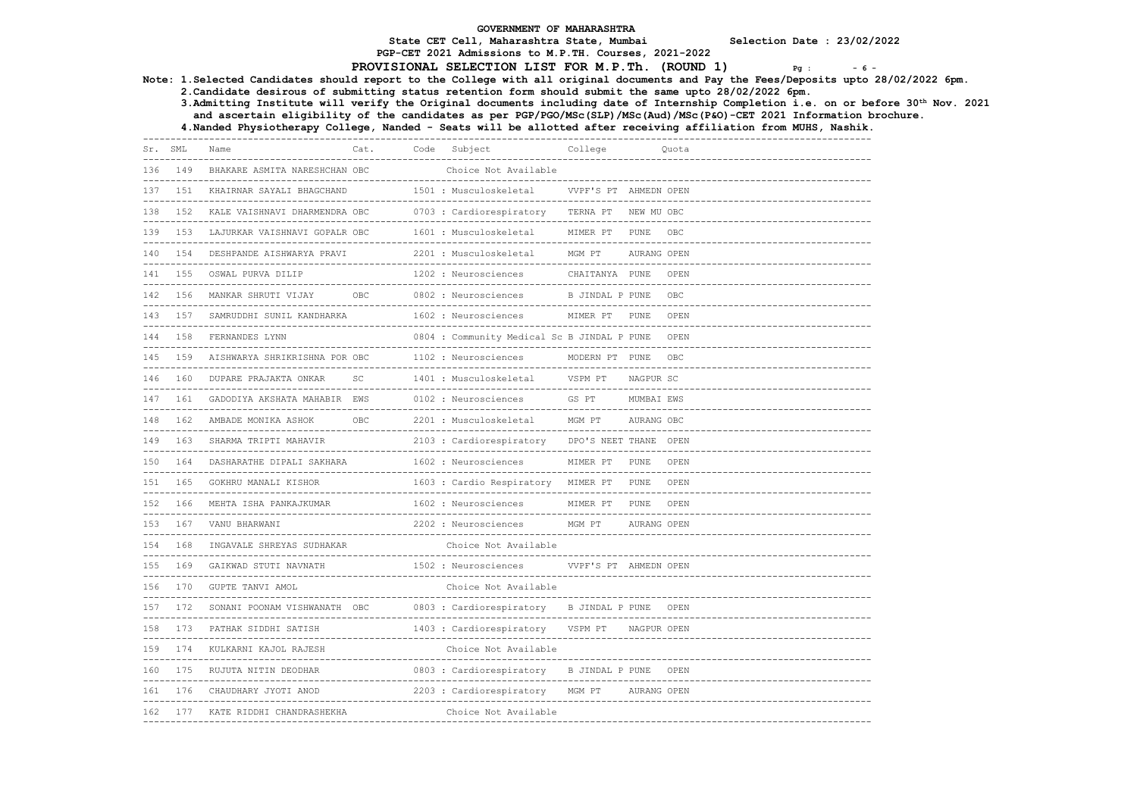PGP-CET 2021 Admissions to M.P.TH. Courses, 2021-2022

# PROVISIONAL SELECTION LIST FOR M.P.Th. (ROUND 1)  $P_{\text{g}}$ : -6-

Note: 1.Selected Candidates should report to the College with all original documents and Pay the Fees/Deposits upto 28/02/2022 6pm.

2.Candidate desirous of submitting status retention form should submit the same upto 28/02/2022 6pm.

 3.Admitting Institute will verify the Original documents including date of Internship Completion i.e. on or before 30th Nov. 2021 and ascertain eligibility of the candidates as per PGP/PGO/MSc(SLP)/MSc(Aud)/MSc(P&O)-CET 2021 Information brochure.

4.Nanded Physiotherapy College, Nanded - Seats will be allotted after receiving affiliation from MUHS, Nashik.

| Sr. SML |         | Name                                                         | Cat.                                                | Code | Subject                                     | College                                |             | Ouota              |
|---------|---------|--------------------------------------------------------------|-----------------------------------------------------|------|---------------------------------------------|----------------------------------------|-------------|--------------------|
| 136     | 149     | BHAKARE ASMITA NARESHCHAN OBC                                |                                                     |      | Choice Not Available                        | ----------------------                 |             |                    |
| 137     | 151     | KHAIRNAR SAYALI BHAGCHAND                                    |                                                     |      | 1501 : Musculoskeletal                      | VVPF'S PT AHMEDN OPEN                  |             |                    |
| 138     | 1.52    | KALE VAISHNAVI DHARMENDRA OBC                                |                                                     |      | 0703 : Cardiorespiratory<br>----------      | TERNA PT<br>-------------              | NEW MU OBC  |                    |
|         | 139 153 | LAJURKAR VAISHNAVI GOPALR OBC                                |                                                     |      | 1601 : Musculoskeletal                      | MIMER PT                               | PUNE        | OBC                |
| 140     | 154     | DESHPANDE AISHWARYA PRAVI                                    |                                                     |      | 2201 : Musculoskeletal                      | MGM PT                                 | AURANG OPEN |                    |
| 141     | 155     | OSWAL PURVA DILIP                                            |                                                     |      | 1202 : Neurosciences                        | CHAITANYA PUNE                         |             | OPEN               |
|         | 142 156 | MANKAR SHRUTI VIJAY                                          | OBC                                                 |      | 0802 : Neurosciences                        | B JINDAL P PUNE                        |             | OBC<br>$- - - - -$ |
| 143     | 157     | SAMRUDDHI SUNIL KANDHARKA                                    |                                                     |      | 1602 : Neurosciences                        | MIMER PT                               | PUNE        | OPEN               |
| 144     | 158     | FERNANDES LYNN                                               |                                                     |      | 0804 : Community Medical Sc B JINDAL P PUNE |                                        |             | OPEN               |
| 145     | 159     | AISHWARYA SHRIKRISHNA POR OBC                                | _____________________________                       |      | 1102 : Neurosciences                        | MODERN PT PUNE<br>__________________   |             | OBC                |
|         | 146 160 | DUPARE PRAJAKTA ONKAR                                        | SC                                                  |      | 1401 : Musculoskeletal                      | VSPM PT                                | NAGPUR SC   |                    |
| 147     | 161     | GADODIYA AKSHATA MAHABIR EWS                                 |                                                     |      | 0102 : Neurosciences                        | GS PT                                  | MUMBAI EWS  |                    |
| 148     | 162     | AMBADE MONIKA ASHOK                                          | <b>OBC</b><br>------------------------------------- |      | 2201 : Musculoskeletal                      | MGM PT<br>---------------------------- | AURANG OBC  |                    |
|         | 149 163 | SHARMA TRIPTI MAHAVIR                                        |                                                     |      | 2103 : Cardiorespiratory                    | DPO'S NEET THANE OPEN                  |             |                    |
| 150     | 164     | DASHARATHE DIPALI SAKHARA                                    |                                                     |      | 1602 : Neurosciences                        | MIMER PT                               | PUNE        | OPEN               |
| 151     | 165     | GOKHRU MANALI KISHOR<br>-------------------------            |                                                     |      | 1603 : Cardio Respiratory MIMER PT          |                                        | PUNE        | OPEN               |
|         | 152 166 | MEHTA ISHA PANKAJKUMAR                                       |                                                     |      | 1602 : Neurosciences                        | MIMER PT                               | PUNE        | OPEN               |
| 153     |         | 167 VANU BHARWANI                                            |                                                     |      | 2202 : Neurosciences                        | MGM PT                                 | AURANG OPEN |                    |
| 154     | 168     | INGAVALE SHREYAS SUDHAKAR<br>_________________________       |                                                     |      | Choice Not Available                        |                                        |             |                    |
| 155     | 169     | GAIKWAD STUTI NAVNATH                                        |                                                     |      | 1502 : Neurosciences                        | VVPF'S PT AHMEDN OPEN                  |             |                    |
| 156     | 170     | GUPTE TANVI AMOL                                             |                                                     |      | Choice Not Available                        | ----------------------                 |             |                    |
| 157     | 172     | SONANI POONAM VISHWANATH OBC<br>---------------------------- |                                                     |      | 0803 : Cardiorespiratory                    | B JINDAL P PUNE                        |             | OPEN               |
| 158     | 173     | PATHAK SIDDHI SATISH                                         |                                                     |      | 1403 : Cardiorespiratory                    | VSPM PT                                | NAGPUR OPEN |                    |
| 159     | 174     | KULKARNI KAJOL RAJESH                                        |                                                     |      | Choice Not Available                        |                                        |             |                    |
| 160     | 175     | RUJUTA NITIN DEODHAR                                         |                                                     |      | 0803 : Cardiorespiratory                    | B JINDAL P PUNE                        |             | OPEN               |
| 161     | 176     | CHAUDHARY JYOTI ANOD                                         |                                                     |      | 2203 : Cardiorespiratory                    | MGM PT                                 | AURANG OPEN |                    |
| 162     | 177     | KATE RIDDHI CHANDRASHEKHA                                    |                                                     |      | Choice Not Available                        |                                        |             |                    |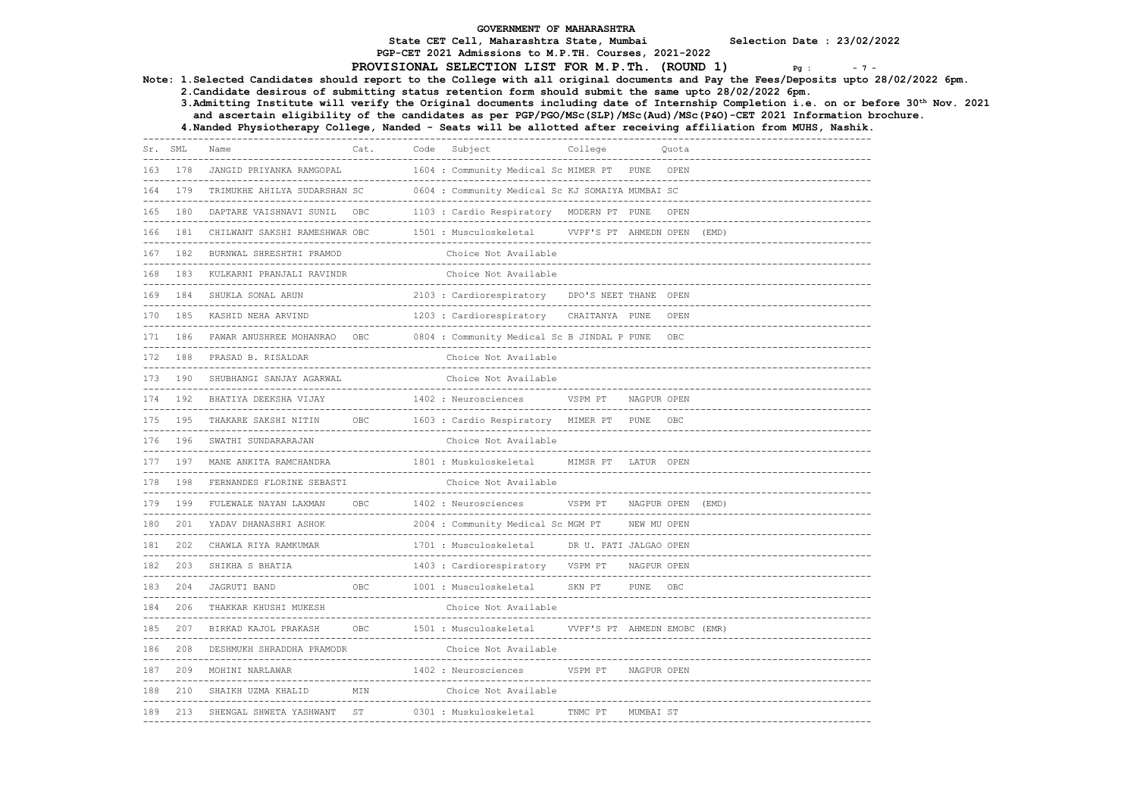PGP-CET 2021 Admissions to M.P.TH. Courses, 2021-2022

#### PROVISIONAL SELECTION LIST FOR M.P.Th. (ROUND 1)  $Pg_{g}$ :  $-7 - P_{g}$

Note: 1.Selected Candidates should report to the College with all original documents and Pay the Fees/Deposits upto 28/02/2022 6pm.

2.Candidate desirous of submitting status retention form should submit the same upto 28/02/2022 6pm.

 3.Admitting Institute will verify the Original documents including date of Internship Completion i.e. on or before 30th Nov. 2021 and ascertain eligibility of the candidates as per PGP/PGO/MSc(SLP)/MSc(Aud)/MSc(P&O)-CET 2021 Information brochure.

4.Nanded Physiotherapy College, Nanded - Seats will be allotted after receiving affiliation from MUHS, Nashik.

------------------------------------------------------------------------------------------------------------------------------------ Cat. Code Subject College ------------------------------------------------------------------------------------------------------------------------------------ 1604 : Community Medical Sc MIMER PT PUNE OPEN ------------------------------------------------------------------------------------------------------------------------------------ 164 179 TRIMUKHE AHILYA SUDARSHAN SC 0604 : Community Medical Sc KJ SOMAIYA MUMBAI SC ------------------------------------------------------------------------------------------------------------------------------------ 165 180 DAPTARE VAISHNAVI SUNIL OBC 1103 : Cardio Respiratory MODERN PT PUNE OPEN  $-+++++++$ 166 181 CHILWANT SAKSHI RAMESHWAR OBC 1501 : Musculoskeletal VVPF'S PT AHMEDN OPEN (EMD) ------------------------------------------------------------------------------------------------------------------------------------ 167 182 BURNWAL SHRESHTHI PRAMOD Choice Not Available ------------------------------------------------------------------------------------------------------------------------------------ 168 183 KULKARNI PRANJALI RAVINDR ------------------------------------------------------------------------------------------------------------------------------------ 2103 : Cardiorespiratory DPO'S NEET THANE OPEN ------------------------------------------------------------------------------------------------------------------------------------ 170 185 KASHID NEHA ARVIND 1203 : Cardiorespiratory CHAITANYA PUNE OPEN ------------------------------------------------------------------------------------------------------------------------------------ 171 186 PAWAR ANUSHREE MOHANRAO OBC 0804 : Community Medical Sc B JINDAL P PUNE OBC ------------------------------------------------------------------------------------------------------------------------------------ 172 188 PRASAD B. RISALDAR Choice Not Available ------------------------------------------------------------------------------------------------------------------------------------ 173 190 SHUBHANGI SANJAY AGARWAL ------------------------------------------------------------------------------------------------------------------------------------ 174 192 BHATIYA DEEKSHA VIJAY 1402 : Neurosciences VSPM PT NAGPUR OPEN ------------------------------------------------------------------------------------------------------------------------------------ 175 195 THAKARE SAKSHI NITIN OBC 1603 : Cardio Respiratory MIMER PT PUNE OBC ------------------------------------------------------------------------------------------------------------------------------------ 176 196 SWATHI SUNDARARAJAN ------------------------------------------------------------------------------------------------------------------------------------ 177 197 MANE ANKITA RAMCHANDRA 1801 : Muskuloskeletal MIMSR PT LATUR OPEN ------------------------------------------------------------------------------------------------------------------------------------ 178 198 FERNANDES FLORINE SEBASTI ------------------------------------------------------------------------------------------------------------------------------------ 179 199 FULEWALE NAYAN LAXMAN OBC 1402 : Neurosciences VSPM PT NAGPUR OPEN (EMD) ------------------------------------------------------------------------------------------------------------------------------------ 180 201 YADAV DHANASHRI ASHOK 2004 : Community Medical Sc MGM PT NEW MU OPEN ------------------------------------------------------------------------------------------------------------------------------------ 1701 : Musculoskeletal DR U. PATI JALGAO OPEN ------------------------------------------------------------------------------------------------------------------------------------ 1403 : Cardiorespiratory VSPM PT NAGPUR OPEN ------------------------------------------------------------------------------------------------------------------------------------ 183 204 JAGRUTI BAND OBC 1001 : Musculoskeletal SKN PT PUNE OBC ------------------------------------------------------------------------------------------------------------------------------------ 184 206 THAKKAR KHUSHI MUKESH ------------------------------------------------------------------------------------------------------------------------------------ 1501 : Musculoskeletal VVPF'S PT AHMEDN EMOBC (EMR) ------------------------------------------------------------------------------------------------------------------------------------ 186 208 DESHMUKH SHRADDHA PRAMODR Choice Not Available ------------------------------------------------------------------------------------------------------------------------------------ 1402 : Neurosciences VSPM PT NAGPUR OPEN ------------------------------------------------------------------------------------------------------------------------------------ 188 210 SHAIKH UZMA KHALID MIN Choice Not Available ------------------------------------------------------------------------------------------------------------------------------------ 189 213 SHENGAL SHWETA YASHWANT ST 0301 : Muskuloskeletal TNMC PT MUMBAI ST ------------------------------------------------------------------------------------------------------------------------------------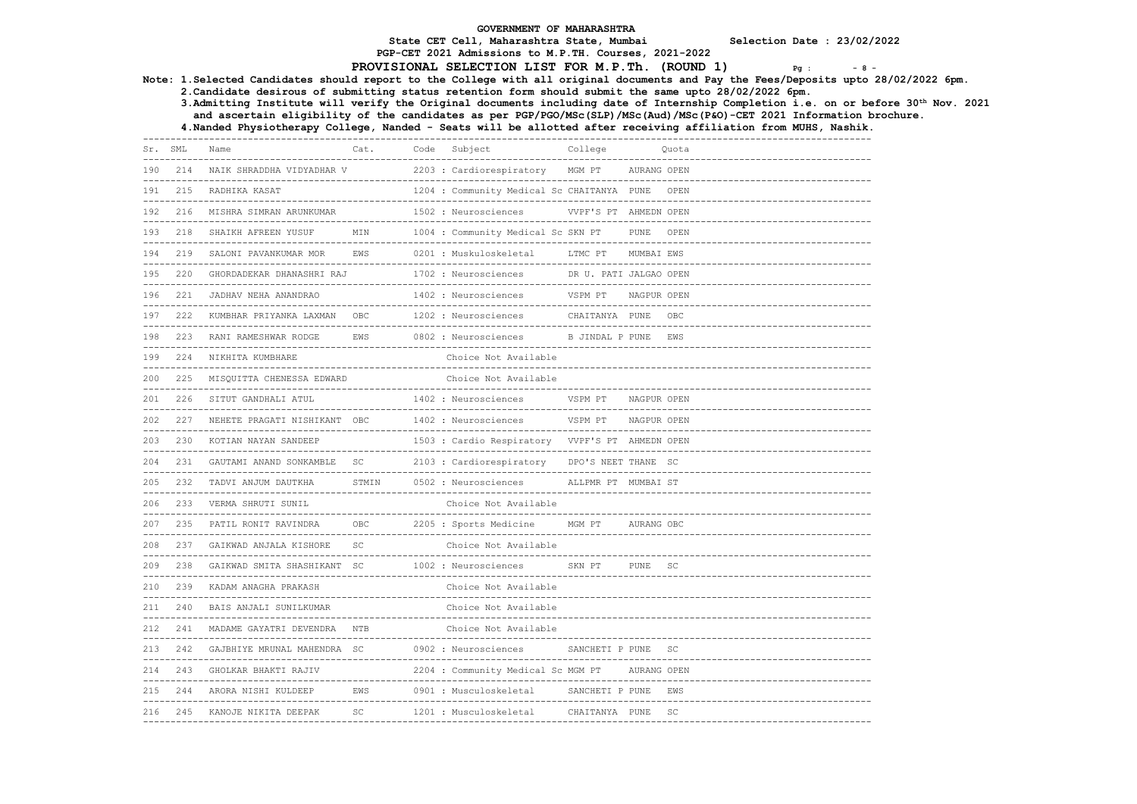PGP-CET 2021 Admissions to M.P.TH. Courses, 2021-2022

# PROVISIONAL SELECTION LIST FOR M.P.Th. (ROUND 1)  $P_g$  :  $-8$  -

Note: 1.Selected Candidates should report to the College with all original documents and Pay the Fees/Deposits upto 28/02/2022 6pm.

2.Candidate desirous of submitting status retention form should submit the same upto 28/02/2022 6pm.

 3.Admitting Institute will verify the Original documents including date of Internship Completion i.e. on or before 30th Nov. 2021 and ascertain eligibility of the candidates as per PGP/PGO/MSc(SLP)/MSc(Aud)/MSc(P&O)-CET 2021 Information brochure.

| Sr. | SML                | Name                                                  | Cat.                  | Code | Subject                                                    | College                                         |             | Ouota     |
|-----|--------------------|-------------------------------------------------------|-----------------------|------|------------------------------------------------------------|-------------------------------------------------|-------------|-----------|
| 190 | 214                | NAIK SHRADDHA VIDYADHAR V                             | --------------------- |      | ----------------------------<br>2203 : Cardiorespiratory   | MGM PT                                          | AURANG OPEN |           |
| 191 | 215                | RADHIKA KASAT                                         |                       |      | 1204 : Community Medical Sc CHAITANYA PUNE                 |                                                 |             | OPEN      |
| 192 | 216                | MISHRA SIMRAN ARUNKUMAR                               |                       |      | 1502 : Neurosciences                                       | ______________________<br>VVPF'S PT AHMEDN OPEN |             |           |
| 193 | ___________<br>218 | SHAIKH AFREEN YUSUF                                   | MIN                   |      | 1004 : Community Medical Sc SKN PT                         |                                                 | <b>PUNE</b> | OPEN      |
| 194 | 219                | SALONI PAVANKUMAR MOR                                 | <b>EWS</b>            |      | ________________<br>0201 : Muskuloskeletal                 | LTMC PT                                         | MUMBAI EWS  |           |
| 195 | 220                | GHORDADEKAR DHANASHRI RAJ                             | --------------------  |      | 1702 : Neurosciences                                       | DR U. PATI JALGAO OPEN                          |             |           |
| 196 | 221                | JADHAV NEHA ANANDRAO                                  |                       |      | 1402 : Neurosciences                                       | VSPM PT                                         | NAGPUR OPEN |           |
| 197 | 222                | KUMBHAR PRIYANKA LAXMAN                               | OBC                   |      | 1202 : Neurosciences                                       | CHAITANYA PUNE                                  |             | OBC       |
| 198 | 223                | RANI RAMESHWAR RODGE                                  | <b>EWS</b>            |      | 0802 : Neurosciences                                       | B JINDAL P PUNE                                 |             | EWS       |
| 199 | 224                | ---------------------------------<br>NIKHITA KUMBHARE |                       |      | Choice Not Available                                       |                                                 |             |           |
| 200 | 225                | MISQUITTA CHENESSA EDWARD                             |                       |      | Choice Not Available                                       |                                                 |             |           |
| 201 | 226                | SITUT GANDHALI ATUL                                   |                       |      | ----------------------<br>1402 : Neurosciences             | -------------------<br>VSPM PT                  | NAGPUR OPEN |           |
| 202 | 227                | NEHETE PRAGATI NISHIKANT OBC                          |                       |      | 1402 : Neurosciences                                       | VSPM PT                                         | NAGPUR OPEN |           |
| 203 | 230                | KOTIAN NAYAN SANDEEP                                  |                       |      | 1503 : Cardio Respiratory VVPF'S PT AHMEDN OPEN            |                                                 |             |           |
| 204 | 231                | GAUTAMI ANAND SONKAMBLE                               | SC                    |      | 2103 : Cardiorespiratory                                   | DPO'S NEET THANE SC                             |             |           |
| 205 | 232                | TADVI ANJUM DAUTKHA                                   | STMIN                 |      | --------------------------------<br>0502 : Neurosciences   | ALLPMR PT MUMBAI ST                             |             |           |
| 206 | 233                | VERMA SHRUTI SUNIL                                    |                       |      | Choice Not Available<br>__________________________________ |                                                 |             |           |
| 207 | 235                | PATIL RONIT RAVINDRA                                  | OBC                   |      | 2205 : Sports Medicine                                     | MGM PT                                          | AURANG OBC  |           |
| 208 | 237                | GAIKWAD ANJALA KISHORE                                | SC                    |      | Choice Not Available                                       |                                                 |             |           |
| 209 | 238                | GAIKWAD SMITA SHASHIKANT SC                           |                       |      | 1002 : Neurosciences                                       | SKN PT                                          | PUNE        | <b>SC</b> |
| 210 | 239                | KADAM ANAGHA PRAKASH                                  |                       |      | Choice Not Available                                       |                                                 |             |           |
| 211 | 240                | BAIS ANJALI SUNILKUMAR                                |                       |      | Choice Not Available                                       |                                                 |             |           |
| 212 | 241                | MADAME GAYATRI DEVENDRA                               | <b>NTB</b>            |      | Choice Not Available                                       |                                                 |             |           |
| 213 | 242                | GAJBHIYE MRUNAL MAHENDRA SC                           |                       |      | 0902 : Neurosciences                                       | -------------------<br>SANCHETI P PUNE          |             | SC        |
| 214 | 243                | GHOLKAR BHAKTI RAJIV                                  |                       |      | 2204 : Community Medical Sc MGM PT                         |                                                 | AURANG OPEN |           |
| 215 | 244                | ARORA NISHI KULDEEP                                   | EWS                   |      | 0901 : Musculoskeletal                                     | SANCHETI P PUNE                                 |             | EWS       |
| 216 | 245                | -----------------------<br>KANOJE NIKITA DEEPAK       | SC                    |      | 1201 : Musculoskeletal                                     | ----------------------------<br>CHAITANYA PUNE  |             | SC        |
|     |                    |                                                       |                       |      |                                                            |                                                 |             |           |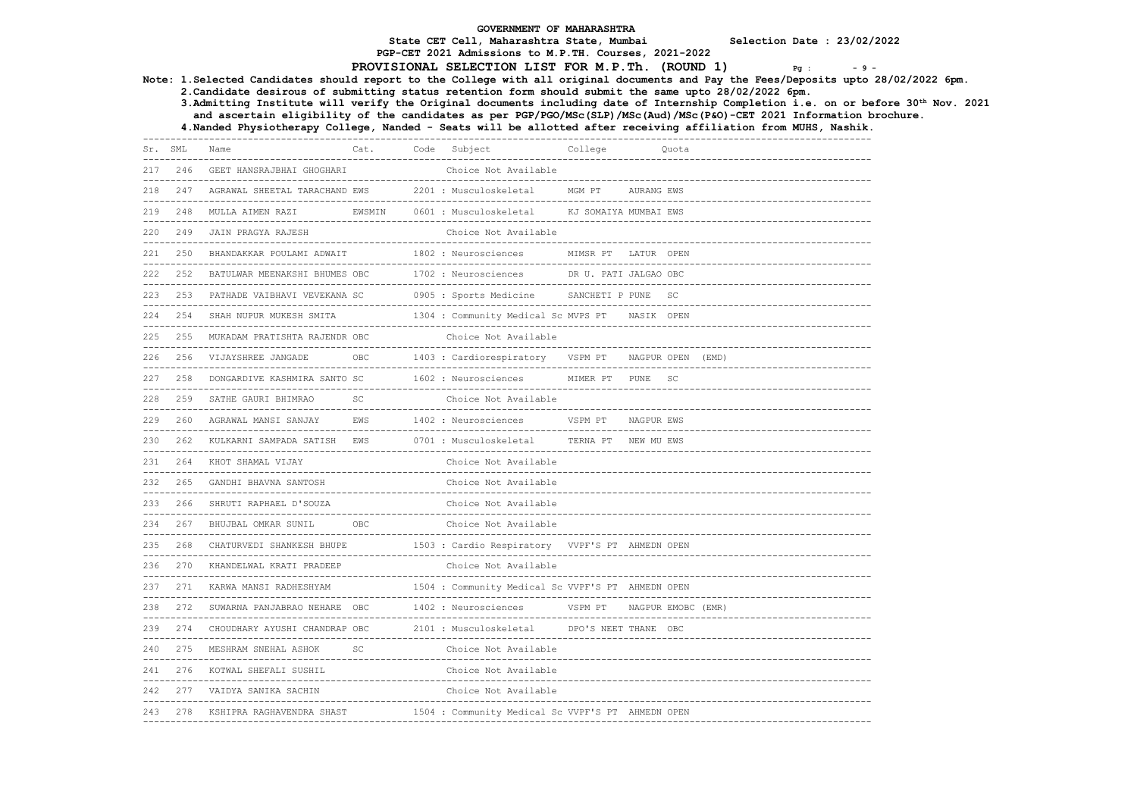PGP-CET 2021 Admissions to M.P.TH. Courses, 2021-2022

#### PROVISIONAL SELECTION LIST FOR M.P.Th. (ROUND 1)  $Pg : Pg : Pg$

3.Admitting Institute will verify the Original documents including date of Internship Completion i.e. on or before 30th Nov. 2021

Note: 1.Selected Candidates should report to the College with all original documents and Pay the Fees/Deposits upto 28/02/2022 6pm. 2.Candidate desirous of submitting status retention form should submit the same upto 28/02/2022 6pm. and ascertain eligibility of the candidates as per PGP/PGO/MSc(SLP)/MSc(Aud)/MSc(P&O)-CET 2021 Information brochure. 4.Nanded Physiotherapy College, Nanded - Seats will be allotted after receiving affiliation from MUHS, Nashik. ------------------------------------------------------------------------------------------------------------------------------------ Cat. Code Subject ------------------------------------------------------------------------------------------------------------------------------------ 217 246 GEET HANSRAJBHAI GHOGHARI ------------------------------------------------------------------------------------------------------------------------------------ 218 247 AGRAWAL SHEETAL TARACHAND EWS 2201 : Musculoskeletal MGM PT AURANG EWS ------------------------------------------------------------------------------------------------------------------------------------ EWSMIN 0601 : Musculoskeletal KJ SOMAIYA MUMBAI EWS ------------------------------------------------------------------------------------------------------------------------------------ 220 249 JAIN PRAGYA RAJESH ------------------------------------------------------------------------------------------------------------------------------------ 221 250 BHANDAKKAR POULAMI ADWAIT 1802 : Neurosciences MIMSR PT LATUR OPEN ------------------------------------------------------------------------------------------------------------------------------------ 222 252 BATULWAR MEENAKSHI BHUMES OBC 1702 : Neurosciences DR U. PATI JALGAO OBC ------------------------------------------------------------------------------------------------------------------------------------ 223 253 PATHADE VAIBHAVI VEVEKANA SC 0905 : Sports Medicine ------------------------------------------------------------------------------------------------------------------------------------ 224 254 SHAH NUPUR MUKESH SMITA 1304 : Community Medical Sc MVPS PT NASIK OPEN ------------------------------------------------------------------------------------------------------------------------------------ 225 255 MUKADAM PRATISHTA RAJENDR OBC Choice Not Available ------------------------------------------------------------------------------------------------------------------------------------ 226 256 VIJAYSHREE JANGADE OBC 1403 : Cardiorespiratory VSPM PT NAGPUR OPEN (EMD) ------------------------------------------------------------------------------------------------------------------------------------ 227 258 DONGARDIVE KASHMIRA SANTO SC 1602 : Neurosciences ------------------------------------------------------------------------------------------------------------------------------------ 228 259 SATHE GAURI BHIMRAO SC ------------------------------------------------------------------------------------------------------------------------------------ 229 260 AGRAWAL MANSI SANJAY EWS 1402 : Neurosciences VSPM PT NAGPUR EWS ------------------------------------------------------------------------------------------------------------------------------------ 230 262 KULKARNI SAMPADA SATISH EWS 0701 : Musculoskeletal TERNA PT NEW MU EWS ------------------------------------------------------------------------------------------------------------------------------------ 231 264 KHOT SHAMAL VIJAY Choice Not Available ------------------------------------------------------------------------------------------------------------------------------------ 232 265 GANDHI BHAVNA SANTOSH ------------------------------------------------------------------------------------------------------------------------------------ 233 266 SHRUTI RAPHAEL D'SOUZA Choice Not Available ------------------------------------------------------------------------------------------------------------------------------------ 234 267 BHUJBAL OMKAR SUNIL OBC ------------------------------------------------------------------------------------------------------------------------------------ 1503 : Cardio Respiratory VVPF'S PT AHMEDN OPEN ------------------------------------------------------------------------------------------------------------------------------------ 236 270 KHANDELWAL KRATI PRADEEP ------------------------------------------------------------------------------------------------------------------------------------ 237 271 KARWA MANSI RADHESHYAM 1504 : Community Medical Sc VVPF'S PT AHMEDN OPEN ------------------------------------------------------------------------------------------------------------------------------------ 238 272 SUWARNA PANJABRAO NEHARE OBC 1402 : Neurosciences ------------------------------------------------------------------------------------------------------------------------------------ 239 274 CHOUDHARY AYUSHI CHANDRAP OBC ------------------------------------------------------------------------------------------------------------------------------------ 240 275 MESHRAM SNEHAL ASHOK SC Choice Not Available ------------------------------------------------------------------------------------------------------------------------------------ 241 276 KOTWAL SHEFALI SUSHIL Choice Not Available ------------------------------------------------------------------------------------------------------------------------------------ 242 277 VAIDYA SANIKA SACHIN Choice Not Available ------------------------------------------------------------------------------------------------------------------------------------ 243 278 KSHIPRA RAGHAVENDRA SHAST 1504 : Community Medical Sc VVPF'S PT AHMEDN OPEN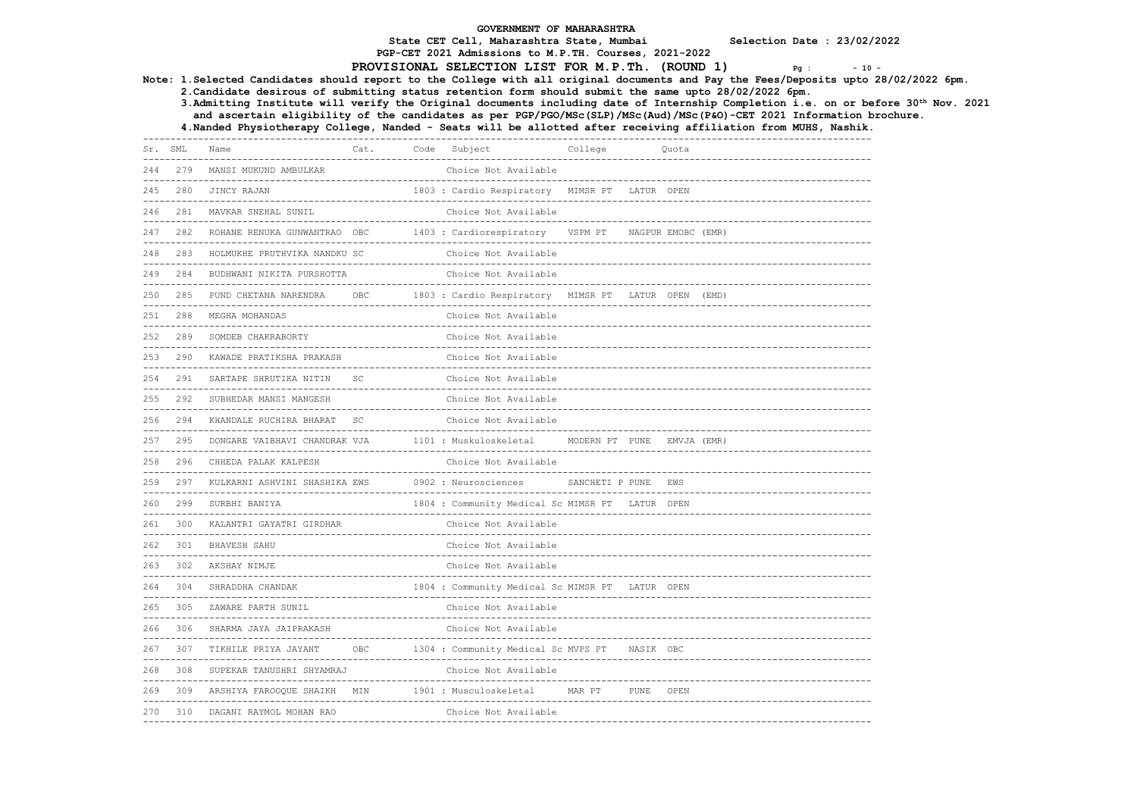PGP-CET 2021 Admissions to M.P.TH. Courses, 2021-2022

#### PROVISIONAL SELECTION LIST FOR M.P.Th.  $(ROUND 1)$   $Pg : -10 - 10$

Note: 1.Selected Candidates should report to the College with all original documents and Pay the Fees/Deposits upto 28/02/2022 6pm.

2.Candidate desirous of submitting status retention form should submit the same upto 28/02/2022 6pm.

 3.Admitting Institute will verify the Original documents including date of Internship Completion i.e. on or before 30th Nov. 2021 and ascertain eligibility of the candidates as per PGP/PGO/MSc(SLP)/MSc(Aud)/MSc(P&O)-CET 2021 Information brochure.

4.Nanded Physiotherapy College, Nanded - Seats will be allotted after receiving affiliation from MUHS, Nashik.

------------------------------------------------------------------------------------------------------------------------------------ Cat. Code Subject ------------------------------------------------------------------------------------------------------------------------------------ 244 279 MANSI MUKUND AMBULKAR ------------------------------------------------------------------------------------------------------------------------------------ 1803 · Cardio Respiratory MIMSR PT LATUR OPEN ------------------------------------------------------------------------------------------------------------------------------------ 246 281 MAVKAR SNEHAL SUNIL  $-1\leq i\leq n-1\leq n-1\leq n-1\leq n-1\leq n-1\leq n-1\leq n-1\leq n-1\leq n-1\leq n-1\leq n-1\leq n-1\leq n-1\leq n-1\leq n-1\leq n-1\leq n-1\leq n-1\leq n-1\leq n-1\leq n-1\leq n-1\leq n-1\leq n-1\leq n-1\leq n-1\leq n-1\leq n-1\leq n-1\leq n-1\leq n-1\leq n-1\leq n-1\leq n-1\leq n-1\leq n$ 247 282 ROHANE RENUKA GUNWANTRAO OBC 1403 : Cardiorespiratory VSPM PT NAGPUR EMOBC (EMR) ------------------------------------------------------------------------------------------------------------------------------------ 248 283 HOLMUKHE PRUTHVIKA NANDKU SC ------------------------------------------------------------------------------------------------------------------------------------ 249 284 BUDHWANI NIKITA PURSHOTTA ------------------------------------------------------------------------------------------------------------------------------------ 250 285 PUND CHETANA NARENDRA OBC 1803 : Cardio Respiratory MIMSR PT LATUR OPEN (EMD) ------------------------------------------------------------------------------------------------------------------------------------ 251 288 MEGHA MOHANDAS ------------------------------------------------------------------------------------------------------------------------------------ 252 289 SOMDEB CHAKRABORTY ------------------------------------------------------------------------------------------------------------------------------------ 253 290 KAWADE PRATIKSHA PRAKASH Choice Not Available ------------------------------------------------------------------------------------------------------------------------------------ 254 291 SARTAPE SHRUTIKA NITIN SC Choice Not Available ------------------------------------------------------------------------------------------------------------------------------------ 255 292 SUBHEDAR MANSI MANGESH Choice Not Available ------------------------------------------------------------------------------------------------------------------------------------ 256 294 KHANDALE RUCHIRA BHARAT SC ------------------------------------------------------------------------------------------------------------------------------------ 257 295 DONGARE VAIBHAVI CHANDRAK VJA 1101 : Muskuloskeletal MODERN PT PUNE EMVJA (EMR) ------------------------------------------------------------------------------------------------------------------------------------ 258 296 CHHEDA PALAK KALPESH Choice Not Available ------------------------------------------------------------------------------------------------------------------------------------ 259 297 KULKARNI ASHVINI SHASHIKA EWS ------------------------------------------------------------------------------------------------------------------------------------ 1804 : Community Medical Sc MIMSR PT LATUR OPEN ------------------------------------------------------------------------------------------------------------------------------------ 261 300 KALANTRI GAYATRI GIRDHAR ------------------------------------------------------------------------------------------------------------------------------------ 262 301 BHAVESH SAHU ------------------------------------------------------------------------------------------------------------------------------------ 263 302 AKSHAY NIMJE ------------------------------------------------------------------------------------------------------------------------------------ 264 304 SHRADDHA CHANDAK 1804 : Community Medical Sc MIMSR PT LATUR OPEN ------------------------------------------------------------------------------------------------------------------------------------ 265 305 ZAWARE PARTH SUNIL ------------------------------------------------------------------------------------------------------------------------------------ 266 306 SHARMA JAYA JAIPRAKASH ------------------------------------------------------------------------------------------------------------------------------------ 267 307 TIKHILE PRIYA JAYANT OBC 1304 : Community Medical Sc MVPS PT NASIK OBC ------------------------------------------------------------------------------------------------------------------------------------ 268 308 SUPEKAR TANUSHRI SHYAMRAJ Choice Not Available ------------------------------------------------------------------------------------------------------------------------------------ 269 309 ARSHIYA FAROOQUE SHAIKH MIN 1901 : Musculoskeletal MAR PT PUNE OPEN ------------------------------------------------------------------------------------------------------------------------------------ 270 310 DAGANI RAYMOL MOHAN RAO Choice Not Available ------------------------------------------------------------------------------------------------------------------------------------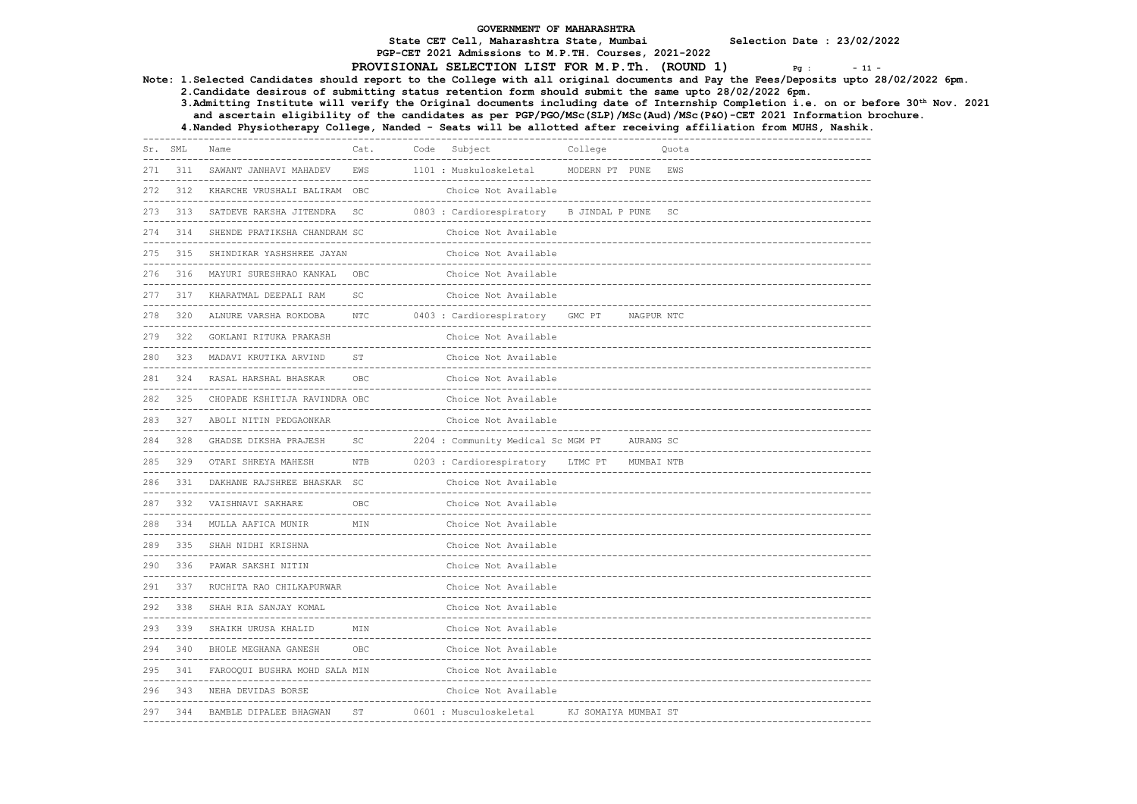PGP-CET 2021 Admissions to M.P.TH. Courses, 2021-2022

# PROVISIONAL SELECTION LIST FOR M.P.Th. (ROUND 1)  $P_g$  :  $-11$

Note: 1.Selected Candidates should report to the College with all original documents and Pay the Fees/Deposits upto 28/02/2022 6pm.

2.Candidate desirous of submitting status retention form should submit the same upto 28/02/2022 6pm.

 3.Admitting Institute will verify the Original documents including date of Internship Completion i.e. on or before 30th Nov. 2021 and ascertain eligibility of the candidates as per PGP/PGO/MSc(SLP)/MSc(Aud)/MSc(P&O)-CET 2021 Information brochure.

| Sr.              | SML | Name                                                             | Cat.                          | Code | Subject<br>_________________________________     | College                |            | Ouota     |  |
|------------------|-----|------------------------------------------------------------------|-------------------------------|------|--------------------------------------------------|------------------------|------------|-----------|--|
| 271              | 311 | SAWANT JANHAVI MAHADEV                                           | EWS                           |      | 1101 : Muskuloskeletal                           | MODERN PT PUNE         |            | EWS       |  |
| 272              | 312 | KHARCHE VRUSHALI BALIRAM OBC                                     |                               |      | Choice Not Available                             |                        |            |           |  |
| 273              | 313 | SATDEVE RAKSHA JITENDRA                                          | SC                            |      | 0803 : Cardiorespiratory                         | B JINDAL P PUNE        |            | <b>SC</b> |  |
| 274              | 314 | SHENDE PRATIKSHA CHANDRAM SC                                     |                               |      | Choice Not Available                             |                        |            |           |  |
| 275              | 315 | SHINDIKAR YASHSHREE JAYAN                                        |                               |      | Choice Not Available                             |                        |            |           |  |
| 276              | 316 | MAYURI SURESHRAO KANKAL<br>_____________________________________ | OBC                           |      | Choice Not Available                             |                        |            |           |  |
| 277              | 317 | KHARATMAL DEEPALI RAM                                            | <b>SC</b>                     |      | Choice Not Available                             |                        |            |           |  |
| 278              | 320 | ALNURE VARSHA ROKDOBA                                            | <b>NTC</b>                    |      | 0403 : Cardiorespiratory                         | GMC PT                 | NAGPUR NTC |           |  |
| 279              | 322 | GOKLANI RITUKA PRAKASH                                           |                               |      | Choice Not Available                             |                        |            |           |  |
| 280              | 323 | MADAVI KRUTIKA ARVIND                                            | <b>ST</b>                     |      | Choice Not Available                             |                        |            |           |  |
| 281              | 324 | RASAL HARSHAL BHASKAR                                            | OBC                           |      | Choice Not Available                             |                        |            |           |  |
| 282              | 325 | CHOPADE KSHITIJA RAVINDRA OBC                                    |                               |      | Choice Not Available                             |                        |            |           |  |
| 283              | 327 | ABOLI NITIN PEDGAONKAR<br>---------------------------------      |                               |      | Choice Not Available<br>------------------------ |                        |            |           |  |
| 284              | 328 | GHADSE DIKSHA PRAJESH<br>-----------------------------------     | SC.<br>$- - - - -$            |      | 2204 : Community Medical Sc MGM PT               |                        | AURANG SC  |           |  |
| 285              | 329 | OTARI SHREYA MAHESH<br>------------------                        | <b>NTB</b>                    |      | 0203 : Cardiorespiratory                         | LTMC PT                | MUMBAI NTB |           |  |
| 286<br>$- - - -$ | 331 | DAKHANE RAJSHREE BHASKAR SC                                      |                               |      | Choice Not Available                             |                        |            |           |  |
| 287              | 332 | VAISHNAVI SAKHARE<br>______________________________              | OBC<br>_____________          |      | Choice Not Available                             |                        |            |           |  |
| 288              | 334 | MULLA AAFICA MUNIR<br>----------------------------               | MIN                           |      | Choice Not Available                             |                        |            |           |  |
| 289              | 335 | SHAH NIDHI KRISHNA                                               |                               |      | Choice Not Available                             | ---------------------- |            |           |  |
| 290              | 336 | PAWAR SAKSHI NITIN                                               |                               |      | Choice Not Available                             |                        |            |           |  |
| 291              | 337 | RUCHITA RAO CHILKAPURWAR                                         |                               |      | Choice Not Available                             |                        |            |           |  |
| 292              | 338 | SHAH RIA SANJAY KOMAL                                            |                               |      | Choice Not Available                             |                        |            |           |  |
| 293              | 339 | SHAIKH URUSA KHALID                                              | MIN                           |      | Choice Not Available                             |                        |            |           |  |
| 294              | 340 | BHOLE MEGHANA GANESH                                             | OBC                           |      | Choice Not Available                             |                        |            |           |  |
| 295              | 341 | FAROOQUI BUSHRA MOHD SALA MIN                                    |                               |      | Choice Not Available                             |                        |            |           |  |
| 296              | 343 | NEHA DEVIDAS BORSE                                               |                               |      | Choice Not Available                             |                        |            |           |  |
| 297              | 344 | BAMBLE DIPALEE BHAGWAN                                           | ST<br>----------------------- |      | 0601 : Musculoskeletal                           | KJ SOMAIYA MUMBAI ST   |            |           |  |
|                  |     |                                                                  |                               |      |                                                  |                        |            |           |  |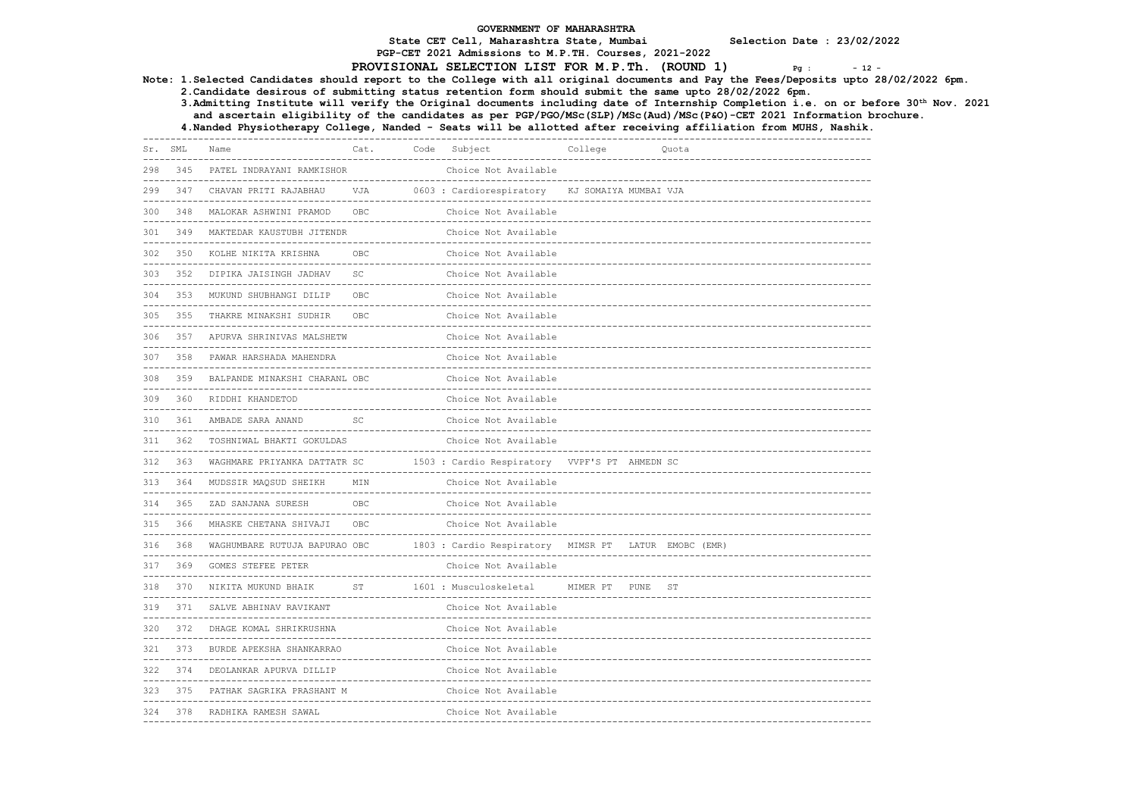PGP-CET 2021 Admissions to M.P.TH. Courses, 2021-2022

# PROVISIONAL SELECTION LIST FOR M.P.Th. (ROUND 1)  $Pq$  :  $-12$

Note: 1.Selected Candidates should report to the College with all original documents and Pay the Fees/Deposits upto 28/02/2022 6pm.

2.Candidate desirous of submitting status retention form should submit the same upto 28/02/2022 6pm.

 3.Admitting Institute will verify the Original documents including date of Internship Completion i.e. on or before 30th Nov. 2021 and ascertain eligibility of the candidates as per PGP/PGO/MSc(SLP)/MSc(Aud)/MSc(P&O)-CET 2021 Information brochure.

4.Nanded Physiotherapy College, Nanded - Seats will be allotted after receiving affiliation from MUHS, Nashik.

| Sr. SML      |         | Name                                                                  | Cat. | Code | Subject                                                        | College                       |       | Quota     |
|--------------|---------|-----------------------------------------------------------------------|------|------|----------------------------------------------------------------|-------------------------------|-------|-----------|
| 298<br>----- | 345     | PATEL INDRAYANI RAMKISHOR                                             |      |      | Choice Not Available                                           | ----------------              |       |           |
| 299          | 347     | CHAVAN PRITI RAJABHAU                                                 | VJA  |      | 0603 : Cardiorespiratory                                       | KJ SOMAIYA MUMBAI VJA         |       |           |
| 300          | 348     | MALOKAR ASHWINI PRAMOD                                                | OBC  |      | Choice Not Available                                           |                               |       |           |
| 301          | 349     | MAKTEDAR KAUSTUBH JITENDR                                             |      |      | Choice Not Available                                           |                               |       |           |
| 302          | 350     | KOLHE NIKITA KRISHNA                                                  | OBC  |      | Choice Not Available<br>_______________________                |                               |       |           |
| 303          | 352     | DIPIKA JAISINGH JADHAV                                                | SC   |      | Choice Not Available                                           | ----------------------------- |       |           |
| 304          | 353     | MUKUND SHUBHANGI DILIP                                                | OBC  |      | Choice Not Available<br>-------------------------------        |                               |       |           |
| 305          | 355     | THAKRE MINAKSHI SUDHIR                                                | OBC  |      | Choice Not Available                                           |                               |       |           |
| 306          |         | 357 APURVA SHRINIVAS MALSHETW                                         |      |      | Choice Not Available                                           |                               |       |           |
| 307          | 358     | PAWAR HARSHADA MAHENDRA<br>-----------------------------              |      |      | Choice Not Available                                           |                               |       |           |
| 308          | 359     | BALPANDE MINAKSHI CHARANL OBC<br>------------------------------------ |      |      | Choice Not Available<br>---------------------                  |                               |       |           |
| 309          | 360     | RIDDHI KHANDETOD                                                      |      |      | Choice Not Available                                           |                               |       |           |
| 310          | 361     | AMBADE SARA ANAND                                                     | SC.  |      | Choice Not Available                                           |                               |       |           |
|              | 311 362 | TOSHNIWAL BHAKTI GOKULDAS                                             |      |      | Choice Not Available                                           | ----------------------------  |       |           |
| 312          | 363     | WAGHMARE PRIYANKA DATTATR SC<br>------------------------              |      |      | 1503 : Cardio Respiratory VVPF'S PT AHMEDN SC                  |                               |       |           |
| 313          | 364     | MUDSSIR MAQSUD SHEIKH<br>-----------------------------                | MIN  |      | Choice Not Available                                           |                               |       |           |
| 314          | 365     | ZAD SANJANA SURESH                                                    | OBC  |      | Choice Not Available<br>------------------------------         |                               |       |           |
| 315          | 366     | MHASKE CHETANA SHIVAJI                                                | OBC  |      | Choice Not Available                                           |                               |       |           |
| 316          | 368     | WAGHUMBARE RUTUJA BAPURAO OBC                                         |      |      | 1803 : Cardio Respiratory MIMSR PT LATUR EMOBC (EMR)           |                               |       |           |
| 317          | 369     | GOMES STEFEE PETER                                                    |      |      | Choice Not Available                                           |                               |       |           |
| 318          | 370     | NIKITA MUKUND BHAIK                                                   | ST   |      | 1601 : Musculoskeletal                                         | MIMER PT                      | PUNE. | <b>ST</b> |
| 319          | 371     | SALVE ABHINAV RAVIKANT                                                |      |      | Choice Not Available                                           |                               |       |           |
| 320          | 372     | DHAGE KOMAL SHRIKRUSHNA                                               |      |      | Choice Not Available                                           |                               |       |           |
| 321          | 373     | BURDE APEKSHA SHANKARRAO<br>--------------------------------          |      |      | Choice Not Available<br>-------------------------------------- |                               |       |           |
| 322          | 374     | DEOLANKAR APURVA DILLIP                                               |      |      | Choice Not Available<br>---------------------                  |                               |       |           |
| 323          | 375     | PATHAK SAGRIKA PRASHANT M                                             |      |      | Choice Not Available                                           |                               |       |           |
| 324          | 378     | RADHIKA RAMESH SAWAL                                                  |      |      | Choice Not Available                                           |                               |       |           |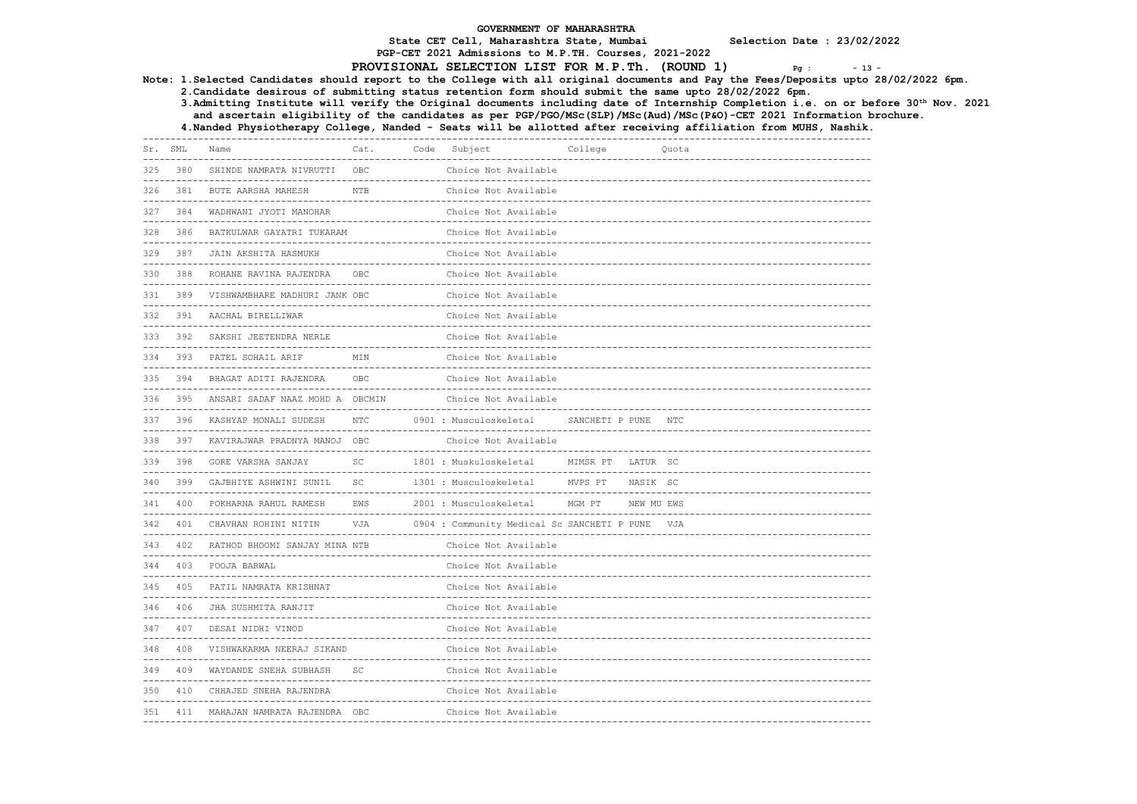PGP-CET 2021 Admissions to M.P.TH. Courses, 2021-2022

PROVISIONAL SELECTION LIST FOR M.P.Th. (ROUND 1)  $Pg : -13 - 14$ 

Note: 1.Selected Candidates should report to the College with all original documents and Pay the Fees/Deposits upto 28/02/2022 6pm.

2.Candidate desirous of submitting status retention form should submit the same upto 28/02/2022 6pm.

 3.Admitting Institute will verify the Original documents including date of Internship Completion i.e. on or before 30th Nov. 2021 and ascertain eligibility of the candidates as per PGP/PGO/MSc(SLP)/MSc(Aud)/MSc(P&O)-CET 2021 Information brochure.

| SHINDE NAMRATA NIVRUTTI<br>OBC<br>Choice Not Available<br>325<br>380<br><b>NTB</b><br>326<br>381<br>BUTE AARSHA MAHESH<br>Choice Not Available<br>384<br>WADHWANI JYOTI MANOHAR<br>Choice Not Available<br>327<br>386<br>BATKULWAR GAYATRI TUKARAM<br>Choice Not Available<br>328<br>329<br>387<br>JAIN AKSHITA HASMUKH<br>Choice Not Available<br>388<br>Choice Not Available<br>330<br>ROHANE RAVINA RAJENDRA<br>OBC.<br>VISHWAMBHARE MADHURI JANK OBC<br>331<br>389<br>Choice Not Available |  |
|------------------------------------------------------------------------------------------------------------------------------------------------------------------------------------------------------------------------------------------------------------------------------------------------------------------------------------------------------------------------------------------------------------------------------------------------------------------------------------------------|--|
|                                                                                                                                                                                                                                                                                                                                                                                                                                                                                                |  |
|                                                                                                                                                                                                                                                                                                                                                                                                                                                                                                |  |
|                                                                                                                                                                                                                                                                                                                                                                                                                                                                                                |  |
|                                                                                                                                                                                                                                                                                                                                                                                                                                                                                                |  |
|                                                                                                                                                                                                                                                                                                                                                                                                                                                                                                |  |
|                                                                                                                                                                                                                                                                                                                                                                                                                                                                                                |  |
|                                                                                                                                                                                                                                                                                                                                                                                                                                                                                                |  |
| 332 391<br>AACHAL BIRELLIWAR<br>Choice Not Available                                                                                                                                                                                                                                                                                                                                                                                                                                           |  |
| 392<br>Choice Not Available<br>SAKSHI JEETENDRA NERLE<br>333<br>-------------------------------------                                                                                                                                                                                                                                                                                                                                                                                          |  |
| 334<br>393<br>PATEL SOHAIL ARIF<br>MIN<br>Choice Not Available<br>----------------------------                                                                                                                                                                                                                                                                                                                                                                                                 |  |
| OBC<br>335 394 BHAGAT ADITI RAJENDRA<br>Choice Not Available                                                                                                                                                                                                                                                                                                                                                                                                                                   |  |
| Choice Not Available<br>336 395 ANSARI SADAF NAAZ MOHD A OBCMIN                                                                                                                                                                                                                                                                                                                                                                                                                                |  |
| <b>NTC</b><br>0901 : Musculoskeletal<br>SANCHETI P PUNE NTC<br>337<br>396<br>KASHYAP MONALI SUDESH                                                                                                                                                                                                                                                                                                                                                                                             |  |
| 338 397<br>KAVIRAJWAR PRADNYA MANOJ OBC<br>Choice Not Available                                                                                                                                                                                                                                                                                                                                                                                                                                |  |
| SC<br>1801 : Muskuloskeletal<br>339<br>398<br>GORE VARSHA SANJAY<br>MIMSR PT LATUR SC<br>--------------------------                                                                                                                                                                                                                                                                                                                                                                            |  |
| SC<br>340<br>399<br>GAJBHIYE ASHWINI SUNIL<br>1301 : Musculoskeletal<br>MVPS PT<br>NASIK SC<br>--------------------------------------<br>----------------------------                                                                                                                                                                                                                                                                                                                          |  |
| 341<br>400<br>EWS<br>2001 : Musculoskeletal<br>MGM PT<br>NEW MU EWS<br>POKHARNA RAHUL RAMESH                                                                                                                                                                                                                                                                                                                                                                                                   |  |
| VJA<br>0904 : Community Medical Sc SANCHETI P PUNE VJA<br>401<br>CHAVHAN ROHINI NITIN<br>342                                                                                                                                                                                                                                                                                                                                                                                                   |  |
| 343 402<br>RATHOD BHOOMI SANJAY MINA NTB<br>Choice Not Available                                                                                                                                                                                                                                                                                                                                                                                                                               |  |
| 344 403 POOJA BARWAL<br>Choice Not Available                                                                                                                                                                                                                                                                                                                                                                                                                                                   |  |
| 345<br>405<br>PATIL NAMRATA KRISHNAT<br>Choice Not Available                                                                                                                                                                                                                                                                                                                                                                                                                                   |  |
| 406<br>JHA SUSHMITA RANJIT<br>Choice Not Available<br>346                                                                                                                                                                                                                                                                                                                                                                                                                                      |  |
| Choice Not Available<br>407<br>DESAI NIDHI VINOD<br>347<br>---------------------------------                                                                                                                                                                                                                                                                                                                                                                                                   |  |
| 348<br>408<br>VISHWAKARMA NEERAJ SIKAND<br>Choice Not Available<br>-----------------------------                                                                                                                                                                                                                                                                                                                                                                                               |  |
| 409 WAYDANDE SNEHA SUBHASH<br>SC<br>Choice Not Available<br>349                                                                                                                                                                                                                                                                                                                                                                                                                                |  |
| CHHAJED SNEHA RAJENDRA<br>Choice Not Available<br>350<br>410                                                                                                                                                                                                                                                                                                                                                                                                                                   |  |
| 411 MAHAJAN NAMRATA RAJENDRA OBC<br>Choice Not Available<br>351                                                                                                                                                                                                                                                                                                                                                                                                                                |  |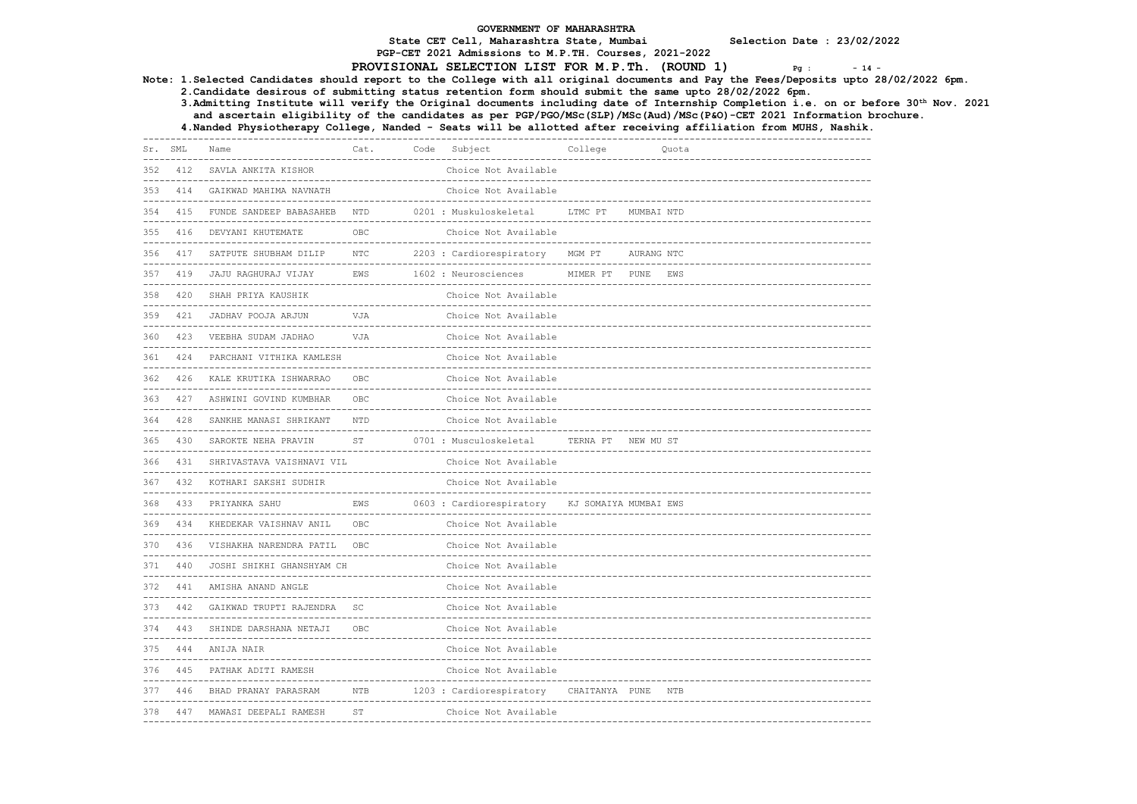PGP-CET 2021 Admissions to M.P.TH. Courses, 2021-2022

### PROVISIONAL SELECTION LIST FOR M.P.Th. (ROUND  $1$ )  $Pq$ :  $-14$

Note: 1.Selected Candidates should report to the College with all original documents and Pay the Fees/Deposits upto 28/02/2022 6pm.

2.Candidate desirous of submitting status retention form should submit the same upto 28/02/2022 6pm.

 3.Admitting Institute will verify the Original documents including date of Internship Completion i.e. on or before 30th Nov. 2021 and ascertain eligibility of the candidates as per PGP/PGO/MSc(SLP)/MSc(Aud)/MSc(P&O)-CET 2021 Information brochure.

| Sr. SML            |     | ----------------------<br>Name                          | Cat.                                       | Code Subject                                                  | College                                |            | Quota |  |
|--------------------|-----|---------------------------------------------------------|--------------------------------------------|---------------------------------------------------------------|----------------------------------------|------------|-------|--|
| 352                | 412 | SAVLA ANKITA KISHOR                                     |                                            | Choice Not Available                                          |                                        |            |       |  |
| 353                |     | 414 GAIKWAD MAHIMA NAVNATH                              |                                            | Choice Not Available                                          |                                        |            |       |  |
| 354                | 415 | FUNDE SANDEEP BABASAHEB                                 | <b>NTD</b>                                 | 0201 : Muskuloskeletal                                        | LTMC PT                                | MUMBAI NTD |       |  |
| 355                | 416 | DEVYANI KHUTEMATE                                       | OBC                                        | Choice Not Available                                          |                                        |            |       |  |
|                    |     |                                                         | <b>NTC</b>                                 |                                                               |                                        |            |       |  |
| 356                | 417 | SATPUTE SHUBHAM DILIP                                   |                                            | 2203 : Cardiorespiratory                                      | MGM PT                                 | AURANG NTC |       |  |
| 357<br>$- - - - -$ | 419 | JAJU RAGHURAJ VIJAY                                     | EWS<br>----------------------------------- | 1602 : Neurosciences                                          | MIMER PT PUNE<br>-------------------   |            | EWS   |  |
| 358                | 420 | SHAH PRIYA KAUSHIK                                      |                                            | Choice Not Available                                          |                                        |            |       |  |
| 359                | 421 | JADHAV POOJA ARJUN                                      | VJA                                        | Choice Not Available                                          |                                        |            |       |  |
| 360                | 423 | VEEBHA SUDAM JADHAO                                     | VJA                                        | Choice Not Available                                          |                                        |            |       |  |
| 361                | 424 | PARCHANI VITHIKA KAMLESH                                |                                            | Choice Not Available                                          |                                        |            |       |  |
| 362                | 426 | KALE KRUTIKA ISHWARRAO                                  | OBC                                        | Choice Not Available                                          |                                        |            |       |  |
| 363                |     | 427 ASHWINI GOVIND KUMBHAR                              | OBC                                        | Choice Not Available                                          |                                        |            |       |  |
| 364                | 428 | SANKHE MANASI SHRIKANT                                  | NTD                                        | Choice Not Available                                          |                                        |            |       |  |
| 365                | 430 | SAROKTE NEHA PRAVIN                                     | ST                                         | 0701 : Musculoskeletal                                        | TERNA PT NEW MU ST                     |            |       |  |
| 366                | 431 | SHRIVASTAVA VAISHNAVI VIL                               |                                            | Choice Not Available                                          |                                        |            |       |  |
| 367                | 432 | KOTHARI SAKSHI SUDHIR                                   |                                            | Choice Not Available                                          |                                        |            |       |  |
| 368                | 433 | PRIYANKA SAHU                                           | EWS                                        | 0603 : Cardiorespiratory                                      | KJ SOMAIYA MUMBAI EWS                  |            |       |  |
| 369                | 434 | KHEDEKAR VAISHNAV ANIL                                  | OBC                                        | Choice Not Available                                          |                                        |            |       |  |
| 370                | 436 | VISHAKHA NARENDRA PATIL                                 | OBC                                        | Choice Not Available                                          |                                        |            |       |  |
| 371                | 440 | --------------------------<br>JOSHI SHIKHI GHANSHYAM CH |                                            | -------------------------------------<br>Choice Not Available | -------------------------------------- |            |       |  |
| 372                | 441 | AMISHA ANAND ANGLE                                      |                                            | Choice Not Available                                          |                                        |            |       |  |
| 373                | 442 | GAIKWAD TRUPTI RAJENDRA                                 | <b>SC</b>                                  | Choice Not Available                                          | -------------------------------------- |            |       |  |
| 374                | 443 | SHINDE DARSHANA NETAJI                                  | OBC                                        | ----------------------------------<br>Choice Not Available    |                                        |            |       |  |
| 375                | 444 | ANIJA NAIR                                              |                                            | Choice Not Available                                          | -------------------------------------  |            |       |  |
| 376                | 445 | PATHAK ADITI RAMESH                                     |                                            | Choice Not Available                                          |                                        |            |       |  |
| 377                | 446 | BHAD PRANAY PARASRAM                                    | NTB                                        | 1203 : Cardiorespiratory CHAITANYA PUNE NTB                   |                                        |            |       |  |
| 378                |     | 447 MAWASI DEEPALI RAMESH                               | ST                                         | Choice Not Available                                          |                                        |            |       |  |
|                    |     |                                                         |                                            |                                                               |                                        |            |       |  |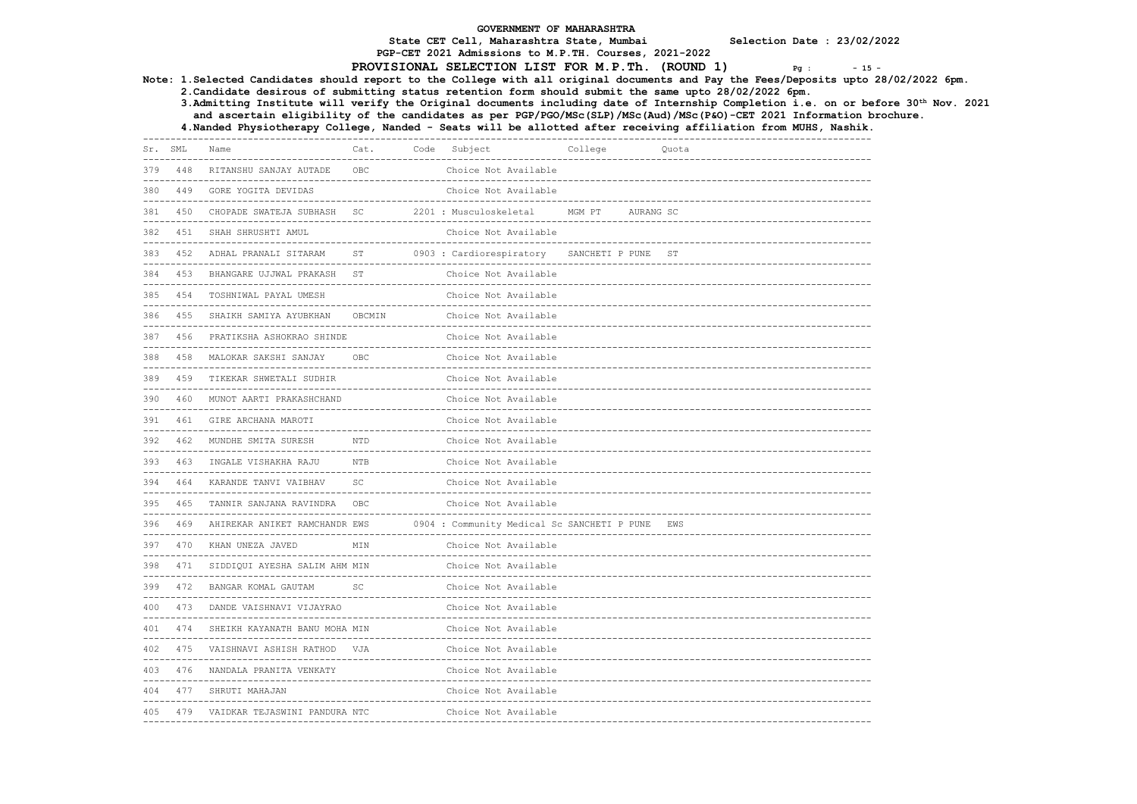PGP-CET 2021 Admissions to M.P.TH. Courses, 2021-2022

# PROVISIONAL SELECTION LIST FOR M.P.Th. (ROUND 1)  $Pg : -15 - 15$

Note: 1.Selected Candidates should report to the College with all original documents and Pay the Fees/Deposits upto 28/02/2022 6pm.

2.Candidate desirous of submitting status retention form should submit the same upto 28/02/2022 6pm.

 3.Admitting Institute will verify the Original documents including date of Internship Completion i.e. on or before 30th Nov. 2021 and ascertain eligibility of the candidates as per PGP/PGO/MSc(SLP)/MSc(Aud)/MSc(P&O)-CET 2021 Information brochure.

| Sr. SML |                   | Name                                                                  | Cat.                            | Code Subject                                                   | College                        |           | Quota                                 |
|---------|-------------------|-----------------------------------------------------------------------|---------------------------------|----------------------------------------------------------------|--------------------------------|-----------|---------------------------------------|
| 379     | 448               | RITANSHU SANJAY AUTADE                                                | OBC                             | -------------------------------------<br>Choice Not Available  |                                |           |                                       |
| 380     | 449               | GORE YOGITA DEVIDAS                                                   |                                 | Choice Not Available                                           |                                |           |                                       |
| 381     | 450               | --------------------<br>CHOPADE SWATEJA SUBHASH                       | SC                              | 2201 : Musculoskeletal                                         | MGM PT                         | AURANG SC | ------------------------------------- |
| 382     | ---------<br>451  | SHAH SHRUSHTI AMUL                                                    | ------------------------------- | Choice Not Available                                           |                                |           |                                       |
| 383     | 452               | ADHAL PRANALI SITARAM                                                 | ST                              | 0903 : Cardiorespiratory                                       | SANCHETI P PUNE                |           | ST                                    |
| 384     | 453               | BHANGARE UJJWAL PRAKASH                                               | ST                              | Choice Not Available                                           |                                |           |                                       |
| 385     | 454               | -------------------<br>TOSHNIWAL PAYAL UMESH                          |                                 | Choice Not Available                                           |                                |           |                                       |
| 386     | 455               | SHAIKH SAMIYA AYUBKHAN                                                | OBCMIN                          | Choice Not Available                                           |                                |           |                                       |
| 387     | 456               | PRATIKSHA ASHOKRAO SHINDE                                             |                                 | Choice Not Available                                           |                                |           |                                       |
| 388     | 458               | MALOKAR SAKSHI SANJAY<br>---------------------                        | OBC                             | Choice Not Available                                           | -----------------------        |           |                                       |
| 389     | 459<br>---------  | TIKEKAR SHWETALI SUDHIR                                               |                                 | Choice Not Available                                           |                                |           |                                       |
| 390     | 460               | MUNOT AARTI PRAKASHCHAND                                              |                                 | Choice Not Available                                           |                                |           |                                       |
| 391     | 461               | GIRE ARCHANA MAROTI                                                   |                                 | Choice Not Available                                           |                                |           |                                       |
| 392     | 462               | MUNDHE SMITA SURESH                                                   | <b>NTD</b>                      | Choice Not Available                                           |                                |           |                                       |
| 393     | 463               | INGALE VISHAKHA RAJU                                                  | <b>NTB</b>                      | Choice Not Available                                           | -------------------------      |           |                                       |
| 394     | 464               | KARANDE TANVI VAIBHAV                                                 | SC                              | Choice Not Available                                           |                                |           |                                       |
| 395     | 465<br>---------- | TANNIR SANJANA RAVINDRA                                               | OBC                             | Choice Not Available                                           |                                |           |                                       |
| 396     | 469               | AHIREKAR ANIKET RAMCHANDR EWS<br>------------------------------------ |                                 | 0904 : Community Medical Sc SANCHETI P PUNE                    |                                |           | EWS                                   |
| 397     | 470<br>---------  | KHAN UNEZA JAVED                                                      | MIN                             | Choice Not Available<br>---------------------------------      |                                |           |                                       |
| 398     | 471               | SIDDIQUI AYESHA SALIM AHM MIN                                         |                                 | Choice Not Available                                           |                                |           |                                       |
| 399     | 472               | BANGAR KOMAL GAUTAM                                                   | SC                              | Choice Not Available                                           |                                |           |                                       |
| 400     | 473               | DANDE VAISHNAVI VIJAYRAO                                              |                                 | Choice Not Available<br>-------------------------------------- | ------------------------       |           |                                       |
| 401     | 474               | SHEIKH KAYANATH BANU MOHA MIN                                         |                                 | Choice Not Available                                           | ------------------------------ |           |                                       |
| 402     | 475               | VAISHNAVI ASHISH RATHOD VJA                                           |                                 | Choice Not Available                                           | ----------------------------   |           |                                       |
| 403     | 476               | NANDALA PRANITA VENKATY                                               |                                 | Choice Not Available                                           | ----------------------         |           |                                       |
| 404     |                   | 477 SHRUTI MAHAJAN                                                    |                                 | Choice Not Available                                           |                                |           |                                       |
| 405     | 479               | VAIDKAR TEJASWINI PANDURA NTC                                         |                                 | Choice Not Available                                           | -----------------------------  |           |                                       |
|         |                   |                                                                       |                                 |                                                                |                                |           |                                       |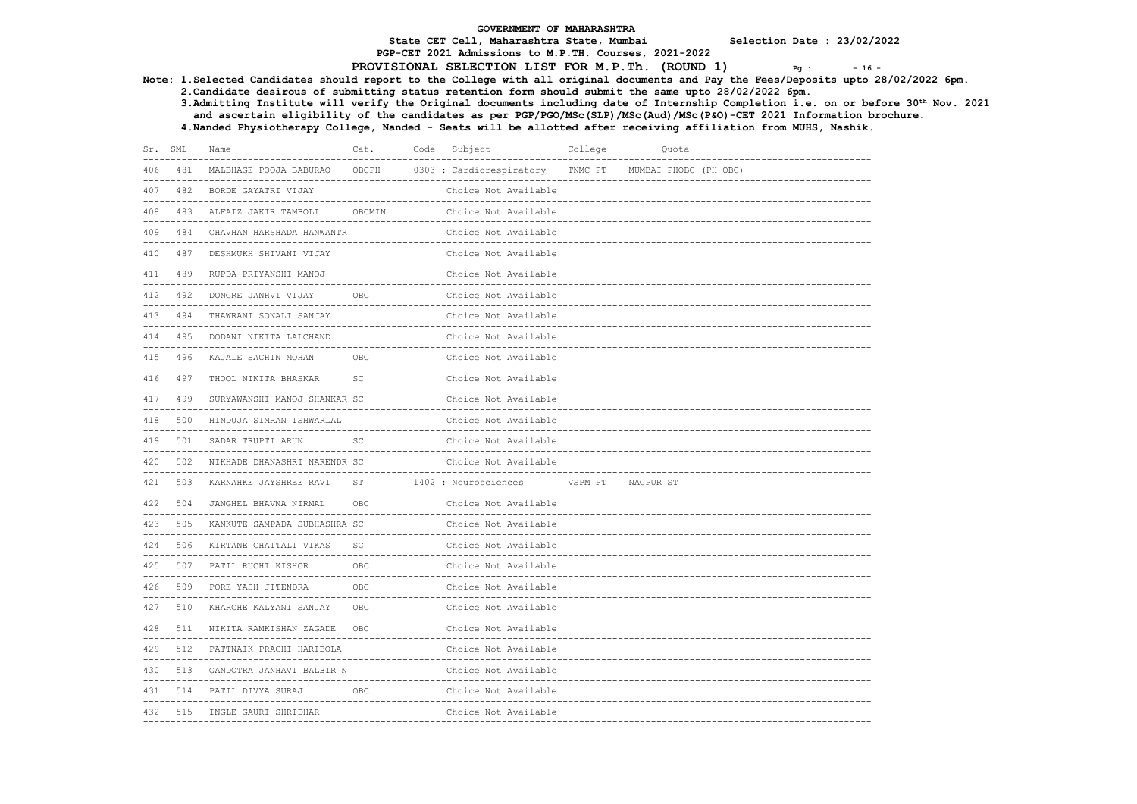PGP-CET 2021 Admissions to M.P.TH. Courses, 2021-2022

# PROVISIONAL SELECTION LIST FOR M.P.Th. (ROUND 1)  $Pg : -16 - 16$

Note: 1.Selected Candidates should report to the College with all original documents and Pay the Fees/Deposits upto 28/02/2022 6pm.

2.Candidate desirous of submitting status retention form should submit the same upto 28/02/2022 6pm.

 3.Admitting Institute will verify the Original documents including date of Internship Completion i.e. on or before 30th Nov. 2021 and ascertain eligibility of the candidates as per PGP/PGO/MSc(SLP)/MSc(Aud)/MSc(P&O)-CET 2021 Information brochure.

|     | Sr. SML | ---------------------<br>Name                                  | Cat.       | Code Subject             | College | Quota                 |  |
|-----|---------|----------------------------------------------------------------|------------|--------------------------|---------|-----------------------|--|
| 406 |         | 481 MALBHAGE POOJA BABURAO                                     | OBCPH      | 0303 : Cardiorespiratory | TNMC PT | MUMBAI PHOBC (PH-OBC) |  |
| 407 |         | 482 BORDE GAYATRI VIJAY                                        |            | Choice Not Available     |         |                       |  |
| 408 |         | 483 ALFAIZ JAKIR TAMBOLI                                       | OBCMIN     | Choice Not Available     |         |                       |  |
| 409 |         | 484 CHAVHAN HARSHADA HANWANTR                                  |            | Choice Not Available     |         |                       |  |
| 410 | 487     | DESHMUKH SHIVANI VIJAY                                         |            | Choice Not Available     |         |                       |  |
| 411 |         | 489 RUPDA PRIYANSHI MANOJ                                      |            | Choice Not Available     |         |                       |  |
| 412 |         | 492 DONGRE JANHVI VIJAY                                        | OBC        | Choice Not Available     |         |                       |  |
| 413 | 494     | THAWRANI SONALI SANJAY                                         |            | Choice Not Available     |         |                       |  |
| 414 | 495     | DODANI NIKITA LALCHAND                                         |            | Choice Not Available     |         |                       |  |
| 415 |         | 496 KAJALE SACHIN MOHAN                                        | OBC        | Choice Not Available     |         |                       |  |
| 416 | 497     | THOOL NIKITA BHASKAR                                           | SC         | Choice Not Available     |         |                       |  |
| 417 |         | 499 SURYAWANSHI MANOJ SHANKAR SC                               |            | Choice Not Available     |         |                       |  |
| 418 |         | 500 HINDUJA SIMRAN ISHWARLAL                                   |            | Choice Not Available     |         |                       |  |
|     |         | 419 501 SADAR TRUPTI ARUN                                      | SC.        | Choice Not Available     |         |                       |  |
| 420 |         | 502 NIKHADE DHANASHRI NARENDR SC                               |            | Choice Not Available     |         |                       |  |
| 421 |         | 503 KARNAHKE JAYSHREE RAVI                                     | <b>ST</b>  | 1402 : Neurosciences     | VSPM PT | NAGPUR ST             |  |
|     |         | 422 504 JANGHEL BHAVNA NIRMAL                                  | OBC.       | Choice Not Available     |         |                       |  |
| 423 |         | 505 KANKUTE SAMPADA SUBHASHRA SC                               |            | Choice Not Available     |         |                       |  |
| 424 |         | 506 KIRTANE CHAITALI VIKAS                                     | <b>SC</b>  | Choice Not Available     |         |                       |  |
| 425 |         | ------------------------------------<br>507 PATIL RUCHI KISHOR | OBC.       | Choice Not Available     |         |                       |  |
| 426 | 509     | PORE YASH JITENDRA                                             | <b>OBC</b> | Choice Not Available     |         |                       |  |
| 427 |         | 510 KHARCHE KALYANI SANJAY                                     | OBC.       | Choice Not Available     |         |                       |  |
| 428 |         | 511 NIKITA RAMKISHAN ZAGADE                                    | OBC        | Choice Not Available     |         |                       |  |
| 429 | 512     | PATTNAIK PRACHI HARIBOLA                                       |            | Choice Not Available     |         |                       |  |
| 430 |         | 513 GANDOTRA JANHAVI BALBIR N                                  |            | Choice Not Available     |         |                       |  |
| 431 |         | 514 PATIL DIVYA SURAJ                                          | OBC        | Choice Not Available     |         |                       |  |
| 432 |         | 515 INGLE GAURI SHRIDHAR                                       |            | Choice Not Available     |         |                       |  |
|     |         |                                                                |            |                          |         |                       |  |